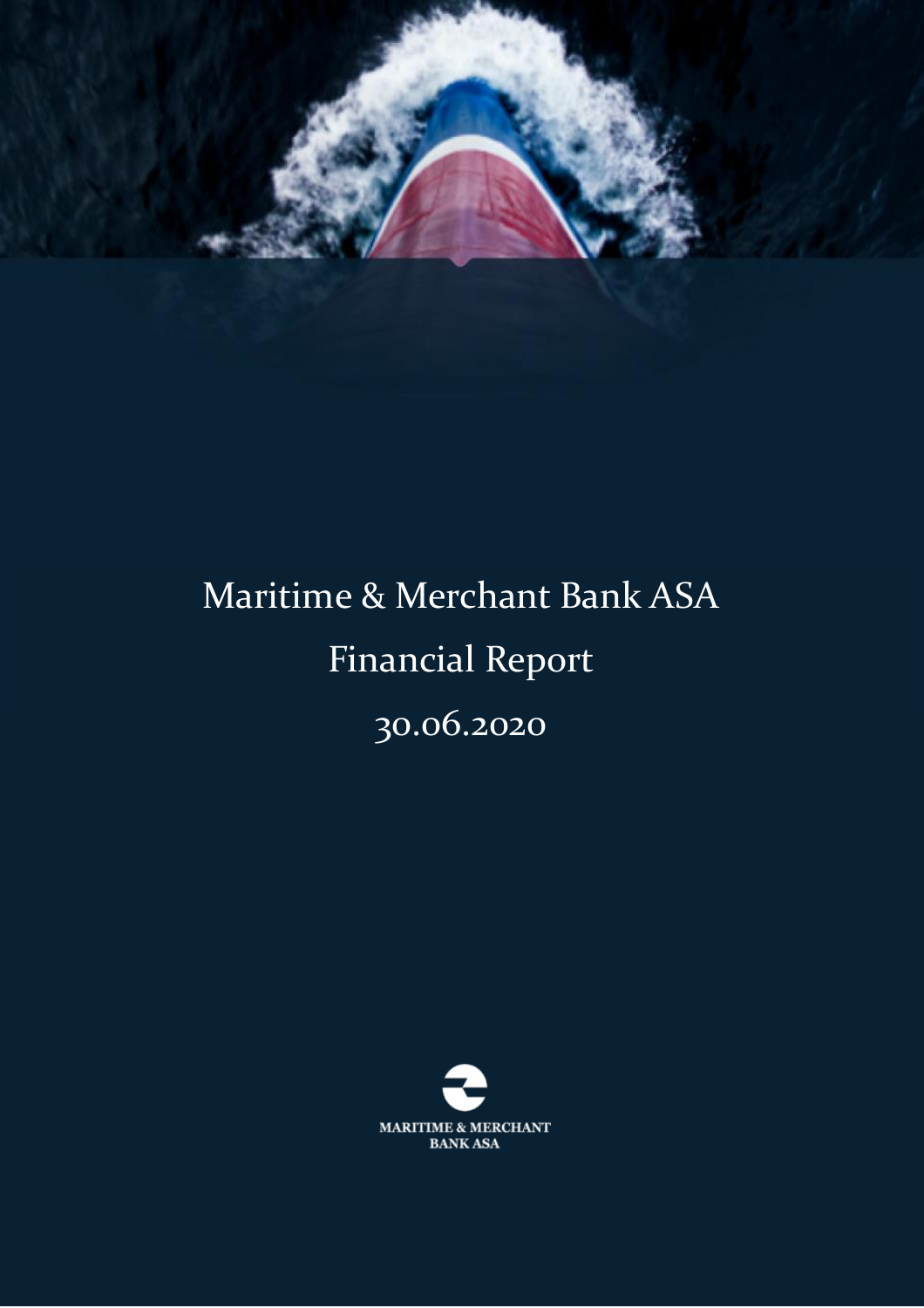

# Maritime & Merchant Bank ASA Financial Report 30.06.2020

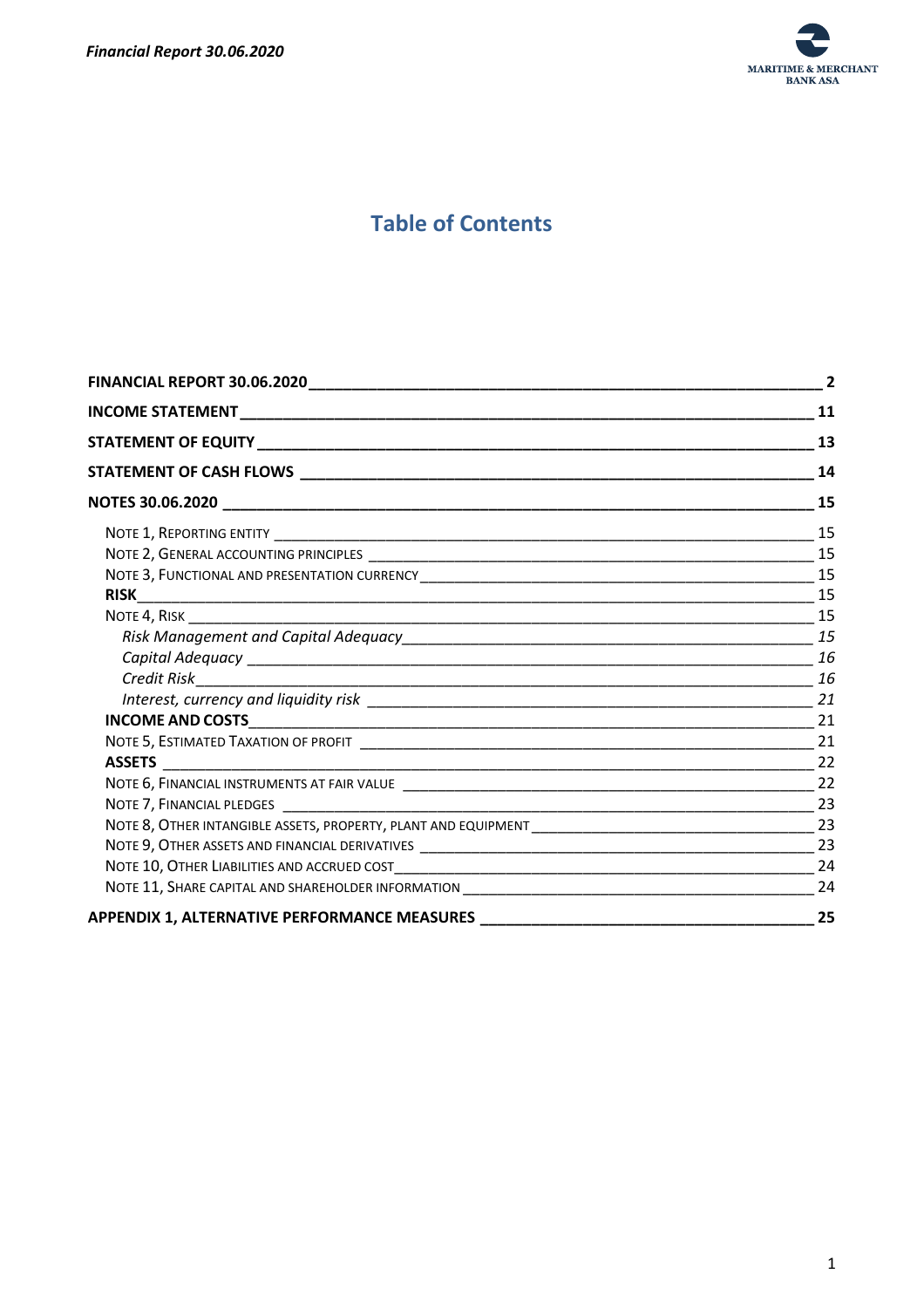

# **Table of Contents**

|                                                                                  | $\overline{2}$ |
|----------------------------------------------------------------------------------|----------------|
|                                                                                  | 11             |
|                                                                                  | 13             |
|                                                                                  | 14             |
|                                                                                  | 15             |
|                                                                                  | 15             |
|                                                                                  |                |
|                                                                                  |                |
|                                                                                  |                |
|                                                                                  |                |
|                                                                                  |                |
|                                                                                  |                |
|                                                                                  |                |
|                                                                                  |                |
|                                                                                  |                |
|                                                                                  | 21             |
|                                                                                  |                |
|                                                                                  |                |
|                                                                                  |                |
|                                                                                  |                |
|                                                                                  | 23             |
|                                                                                  |                |
|                                                                                  |                |
| APPENDIX 1, ALTERNATIVE PERFORMANCE MEASURES ___________________________________ | 25             |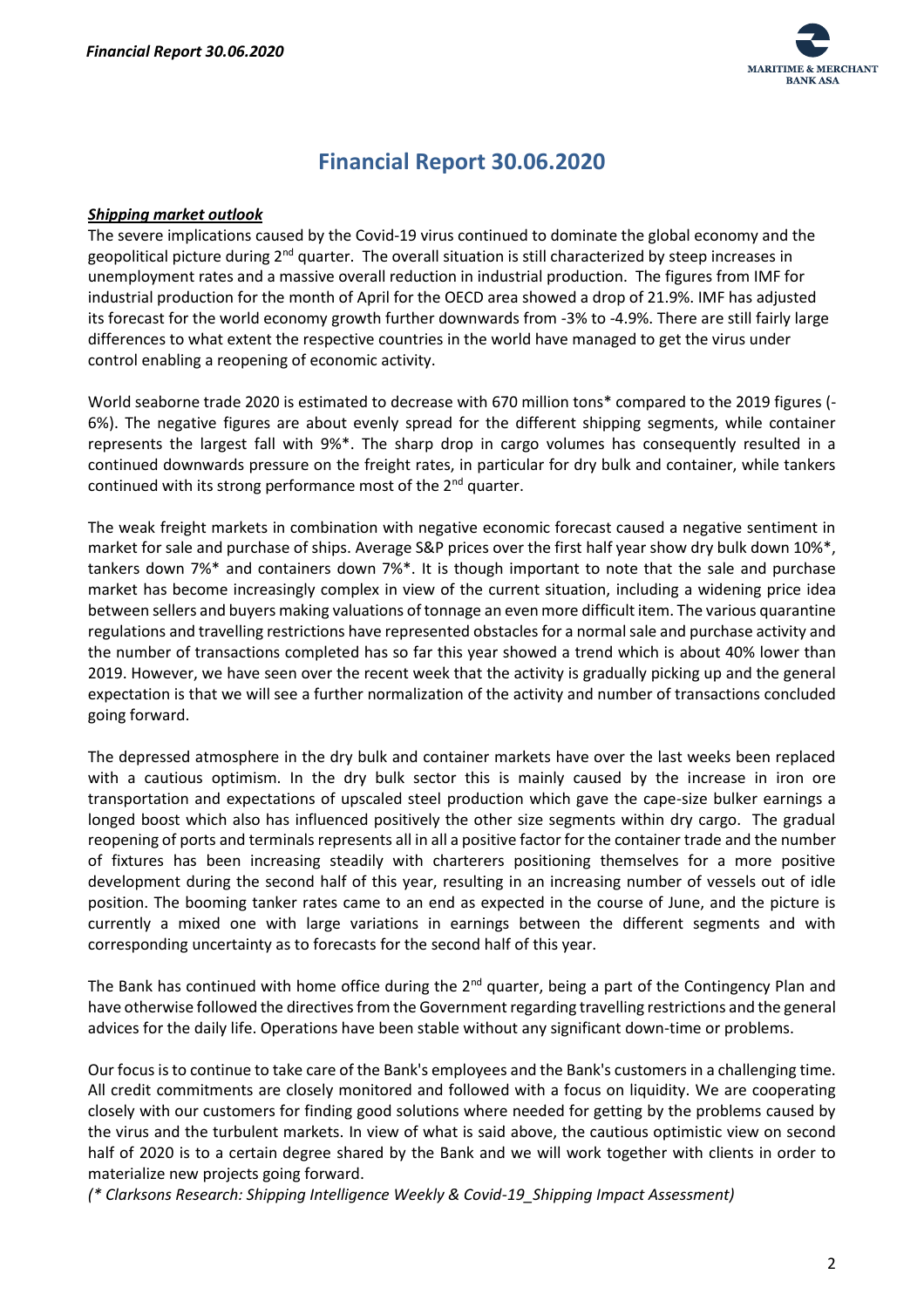

# **Financial Report 30.06.2020**

#### <span id="page-2-0"></span>*Shipping market outlook*

The severe implications caused by the Covid-19 virus continued to dominate the global economy and the geopolitical picture during 2<sup>nd</sup> quarter. The overall situation is still characterized by steep increases in unemployment rates and a massive overall reduction in industrial production. The figures from IMF for industrial production for the month of April for the OECD area showed a drop of 21.9%. IMF has adjusted its forecast for the world economy growth further downwards from -3% to -4.9%. There are still fairly large differences to what extent the respective countries in the world have managed to get the virus under control enabling a reopening of economic activity.

World seaborne trade 2020 is estimated to decrease with 670 million tons\* compared to the 2019 figures (- 6%). The negative figures are about evenly spread for the different shipping segments, while container represents the largest fall with 9%\*. The sharp drop in cargo volumes has consequently resulted in a continued downwards pressure on the freight rates, in particular for dry bulk and container, while tankers continued with its strong performance most of the 2<sup>nd</sup> quarter.

The weak freight markets in combination with negative economic forecast caused a negative sentiment in market for sale and purchase of ships. Average S&P prices over the first half year show dry bulk down 10%\*, tankers down 7%\* and containers down 7%\*. It is though important to note that the sale and purchase market has become increasingly complex in view of the current situation, including a widening price idea between sellers and buyers making valuations of tonnage an even more difficult item. The various quarantine regulations and travelling restrictions have represented obstacles for a normal sale and purchase activity and the number of transactions completed has so far this year showed a trend which is about 40% lower than 2019. However, we have seen over the recent week that the activity is gradually picking up and the general expectation is that we will see a further normalization of the activity and number of transactions concluded going forward.

The depressed atmosphere in the dry bulk and container markets have over the last weeks been replaced with a cautious optimism. In the dry bulk sector this is mainly caused by the increase in iron ore transportation and expectations of upscaled steel production which gave the cape-size bulker earnings a longed boost which also has influenced positively the other size segments within dry cargo. The gradual reopening of ports and terminals represents all in all a positive factor for the container trade and the number of fixtures has been increasing steadily with charterers positioning themselves for a more positive development during the second half of this year, resulting in an increasing number of vessels out of idle position. The booming tanker rates came to an end as expected in the course of June, and the picture is currently a mixed one with large variations in earnings between the different segments and with corresponding uncertainty as to forecasts for the second half of this year.

The Bank has continued with home office during the 2<sup>nd</sup> quarter, being a part of the Contingency Plan and have otherwise followed the directives from the Government regarding travelling restrictions and the general advices for the daily life. Operations have been stable without any significant down-time or problems.

Our focus is to continue to take care of the Bank's employees and the Bank's customers in a challenging time. All credit commitments are closely monitored and followed with a focus on liquidity. We are cooperating closely with our customers for finding good solutions where needed for getting by the problems caused by the virus and the turbulent markets. In view of what is said above, the cautious optimistic view on second half of 2020 is to a certain degree shared by the Bank and we will work together with clients in order to materialize new projects going forward.

*(\* Clarksons Research: Shipping Intelligence Weekly & Covid-19\_Shipping Impact Assessment)*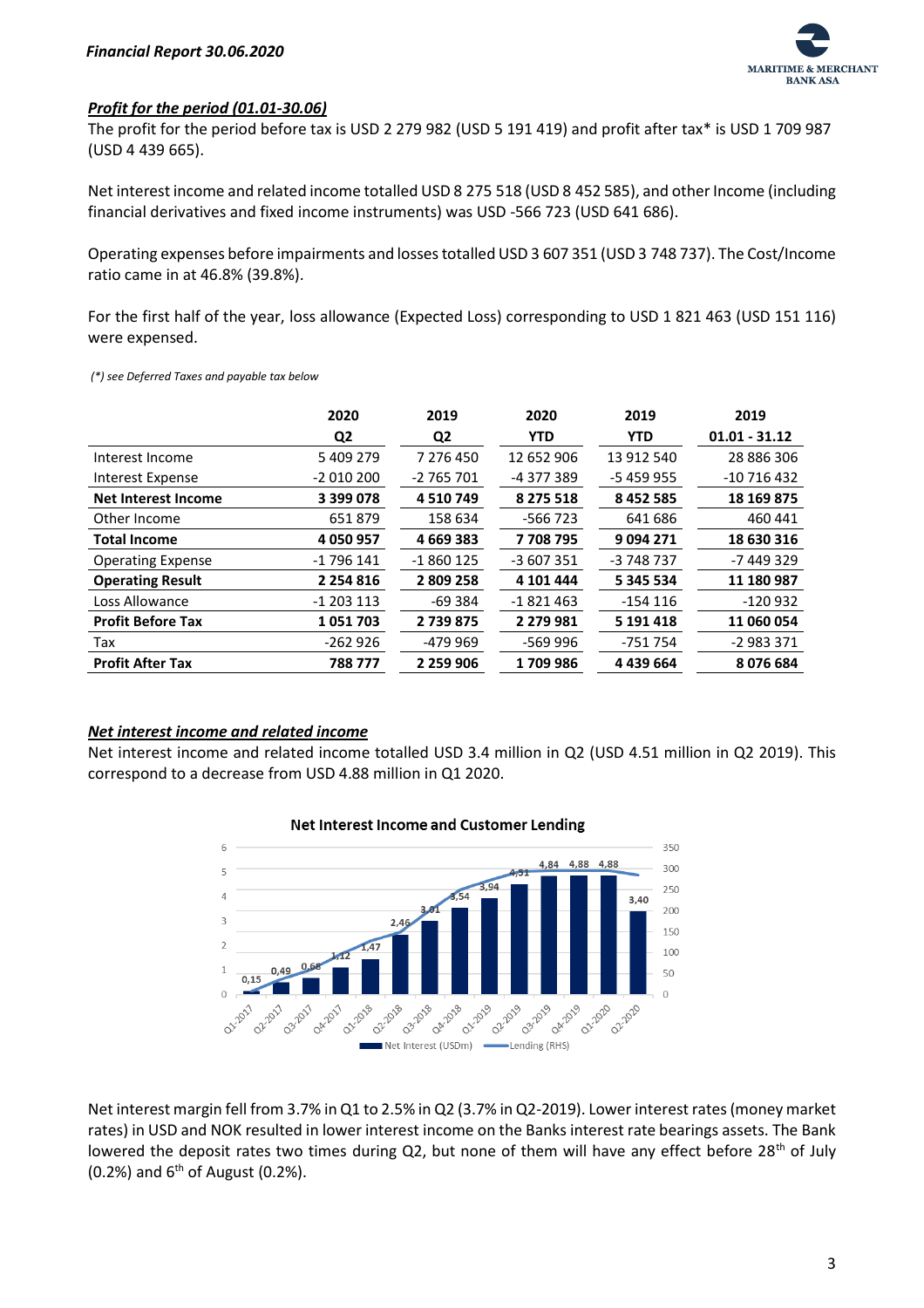

#### *Profit for the period (01.01-30.06)*

The profit for the period before tax is USD 2 279 982 (USD 5 191 419) and profit after tax\* is USD 1 709 987 (USD 4 439 665).

Net interest income and related income totalled USD 8 275 518 (USD 8 452 585), and other Income (including financial derivatives and fixed income instruments) was USD -566 723 (USD 641 686).

Operating expenses before impairments and losses totalled USD 3 607 351 (USD 3 748 737). The Cost/Income ratio came in at 46.8% (39.8%).

For the first half of the year, loss allowance (Expected Loss) corresponding to USD 1 821 463 (USD 151 116) were expensed.

*(\*) see Deferred Taxes and payable tax below*

|                            | 2020<br>Q <sub>2</sub> | 2019<br>Q2    | 2020<br><b>YTD</b> | 2019<br><b>YTD</b> | 2019<br>$01.01 - 31.12$ |
|----------------------------|------------------------|---------------|--------------------|--------------------|-------------------------|
|                            |                        |               |                    |                    |                         |
| Interest Income            | 5 409 279              | 7 276 450     | 12 652 906         | 13 912 540         | 28 886 306              |
| Interest Expense           | $-2010200$             | $-2765701$    | -4 377 389         | $-5459955$         | $-10716432$             |
| <b>Net Interest Income</b> | 3 399 078              | 4 5 10 7 49   | 8 2 7 5 5 1 8      | 8 4 5 2 5 8 5      | 18 169 875              |
| Other Income               | 651879                 | 158 634       | $-566723$          | 641 686            | 460 441                 |
| <b>Total Income</b>        | 4 050 957              | 4 6 69 3 8 3  | 7708795            | 9094271            | 18 630 316              |
| <b>Operating Expense</b>   | $-1796141$             | $-1860125$    | -3 607 351         | -3 748 737         | -7 449 329              |
| <b>Operating Result</b>    | 2 2 5 4 8 1 6          | 2809258       | 4 101 444          | 5 345 534          | 11 180 987              |
| Loss Allowance             | $-1$ 203 113           | $-69384$      | $-1821463$         | $-154116$          | $-120932$               |
| <b>Profit Before Tax</b>   | 1051703                | 2739875       | 2 2 7 9 9 8 1      | 5 191 4 18         | 11 060 054              |
| Tax                        | $-262926$              | -479 969      | -569 996           | -751 754           | $-2983371$              |
| <b>Profit After Tax</b>    | 788777                 | 2 2 5 9 9 0 6 | 1709986            | 4 4 3 6 6 4        | 8076684                 |

#### *Net interest income and related income*

Net interest income and related income totalled USD 3.4 million in Q2 (USD 4.51 million in Q2 2019). This correspond to a decrease from USD 4.88 million in Q1 2020.



## Net interest margin fell from 3.7% in Q1 to 2.5% in Q2 (3.7% in Q2-2019). Lower interest rates (money market rates) in USD and NOK resulted in lower interest income on the Banks interest rate bearings assets. The Bank lowered the deposit rates two times during Q2, but none of them will have any effect before 28<sup>th</sup> of July  $(0.2%)$  and  $6<sup>th</sup>$  of August  $(0.2%)$ .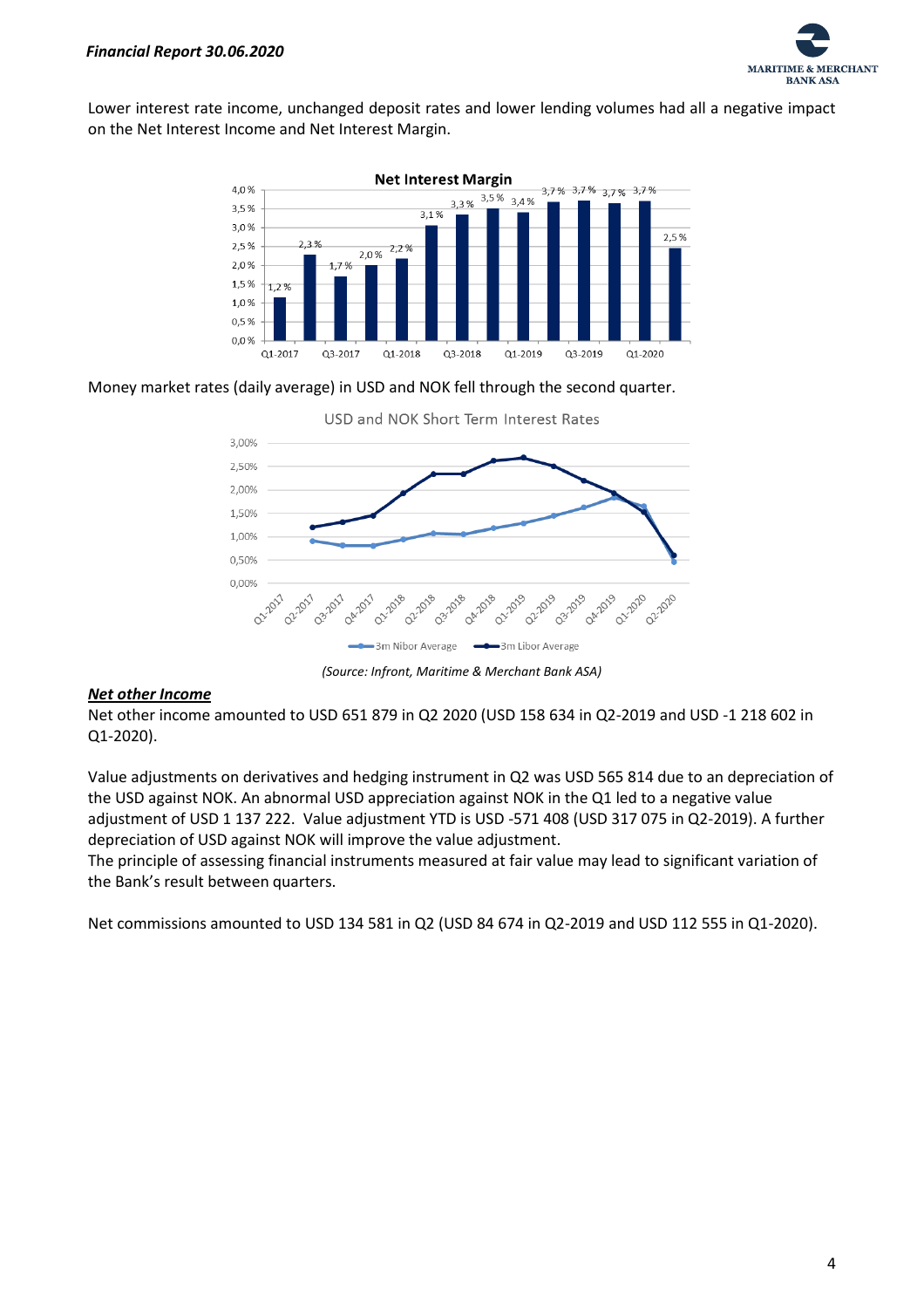

Lower interest rate income, unchanged deposit rates and lower lending volumes had all a negative impact on the Net Interest Income and Net Interest Margin.



Money market rates (daily average) in USD and NOK fell through the second quarter.



*(Source: Infront, Maritime & Merchant Bank ASA)*

#### *Net other Income*

Net other income amounted to USD 651 879 in Q2 2020 (USD 158 634 in Q2-2019 and USD -1 218 602 in Q1-2020).

Value adjustments on derivatives and hedging instrument in Q2 was USD 565 814 due to an depreciation of the USD against NOK. An abnormal USD appreciation against NOK in the Q1 led to a negative value adjustment of USD 1 137 222. Value adjustment YTD is USD -571 408 (USD 317 075 in Q2-2019). A further depreciation of USD against NOK will improve the value adjustment.

The principle of assessing financial instruments measured at fair value may lead to significant variation of the Bank's result between quarters.

Net commissions amounted to USD 134 581 in Q2 (USD 84 674 in Q2-2019 and USD 112 555 in Q1-2020).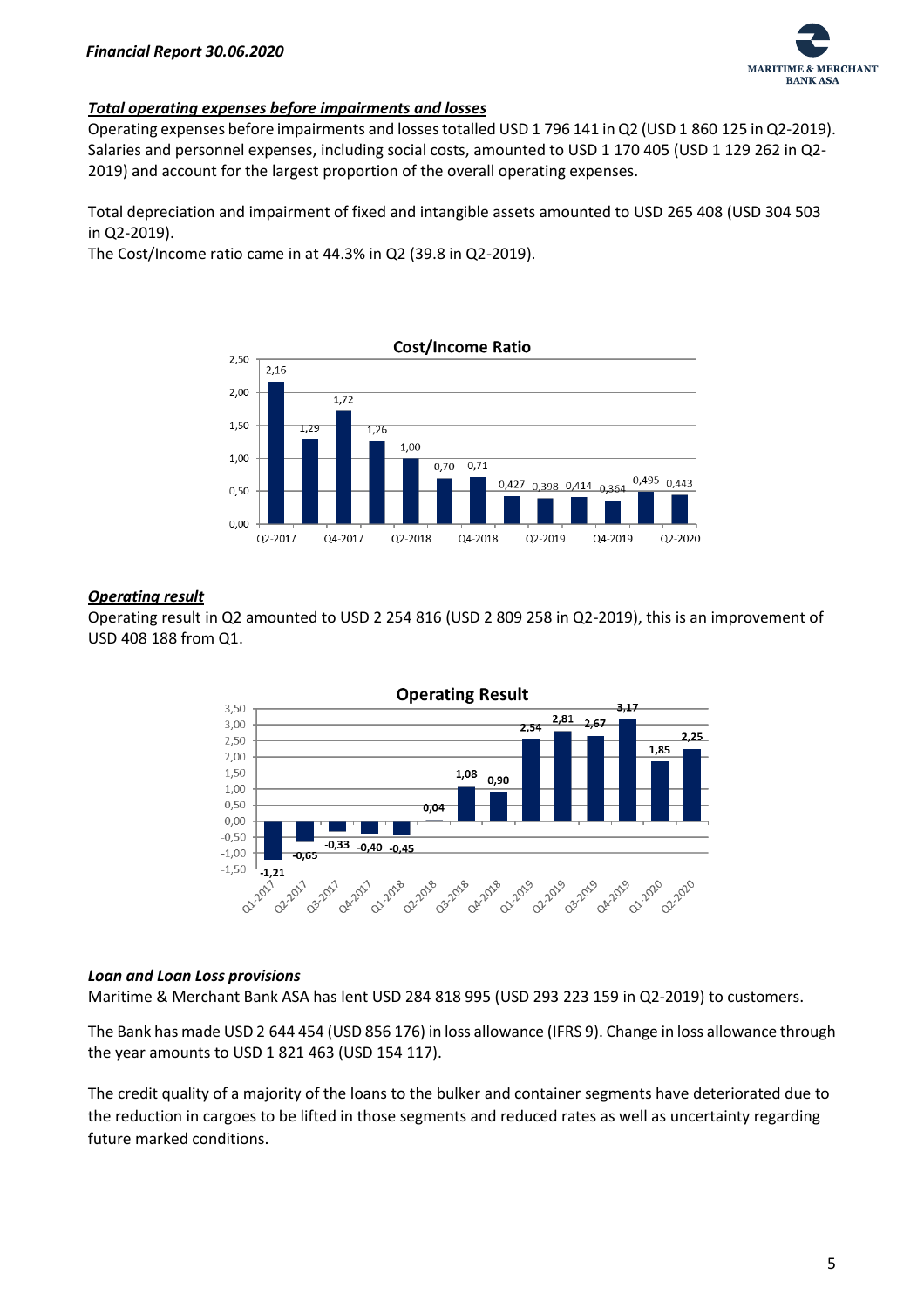

#### *Total operating expenses before impairments and losses*

Operating expenses before impairments and losses totalled USD 1 796 141 in Q2 (USD 1 860 125 in Q2-2019). Salaries and personnel expenses, including social costs, amounted to USD 1 170 405 (USD 1 129 262 in Q2- 2019) and account for the largest proportion of the overall operating expenses.

Total depreciation and impairment of fixed and intangible assets amounted to USD 265 408 (USD 304 503 in Q2-2019).

The Cost/Income ratio came in at 44.3% in Q2 (39.8 in Q2-2019).



#### *Operating result*

Operating result in Q2 amounted to USD 2 254 816 (USD 2 809 258 in Q2-2019), this is an improvement of USD 408 188 from Q1.



#### *Loan and Loan Loss provisions*

Maritime & Merchant Bank ASA has lent USD 284 818 995 (USD 293 223 159 in Q2-2019) to customers.

The Bank has made USD 2 644 454 (USD 856 176) in loss allowance (IFRS 9). Change in loss allowance through the year amounts to USD 1 821 463 (USD 154 117).

The credit quality of a majority of the loans to the bulker and container segments have deteriorated due to the reduction in cargoes to be lifted in those segments and reduced rates as well as uncertainty regarding future marked conditions.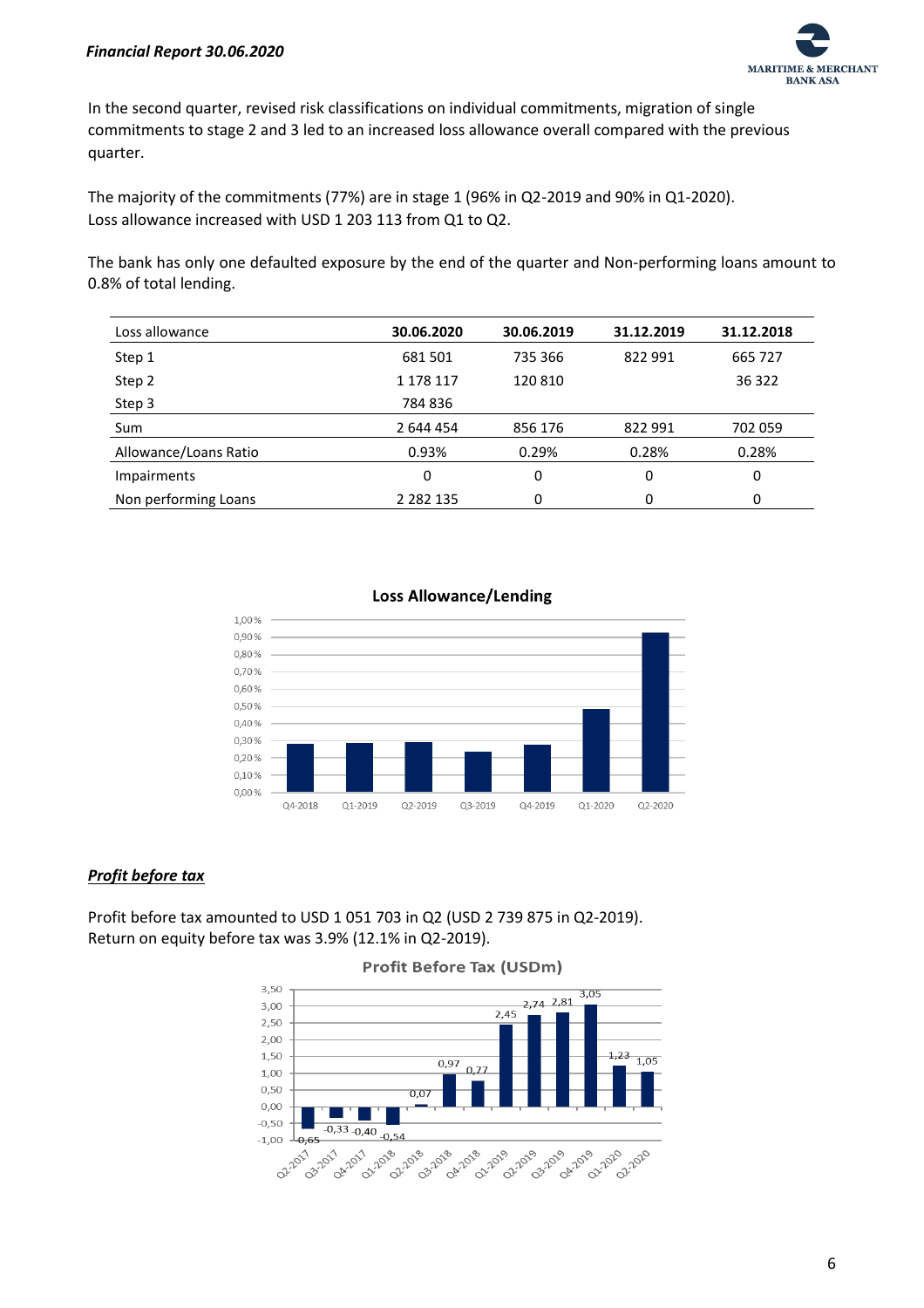#### *Financial Report 30.06.2020*



In the second quarter, revised risk classifications on individual commitments, migration of single commitments to stage 2 and 3 led to an increased loss allowance overall compared with the previous quarter.

The majority of the commitments (77%) are in stage 1 (96% in Q2-2019 and 90% in Q1-2020). Loss allowance increased with USD 1 203 113 from Q1 to Q2.

The bank has only one defaulted exposure by the end of the quarter and Non-performing loans amount to 0.8% of total lending.

| Loss allowance        | 30.06.2020    | 30.06.2019 | 31.12.2019 | 31.12.2018 |
|-----------------------|---------------|------------|------------|------------|
| Step 1                | 681 501       | 735 366    | 822 991    | 665 727    |
| Step 2                | 1 178 117     | 120 810    |            | 36 322     |
| Step 3                | 784 836       |            |            |            |
| Sum                   | 2 644 454     | 856 176    | 822 991    | 702 059    |
| Allowance/Loans Ratio | 0.93%         | 0.29%      | 0.28%      | 0.28%      |
| <b>Impairments</b>    | 0             | 0          | 0          | 0          |
| Non performing Loans  | 2 2 8 2 1 3 5 | 0          | 0          | 0          |



#### *Profit before tax*

Profit before tax amounted to USD 1 051 703 in Q2 (USD 2 739 875 in Q2-2019). Return on equity before tax was 3.9% (12.1% in Q2-2019).



**Profit Before Tax (USDm)**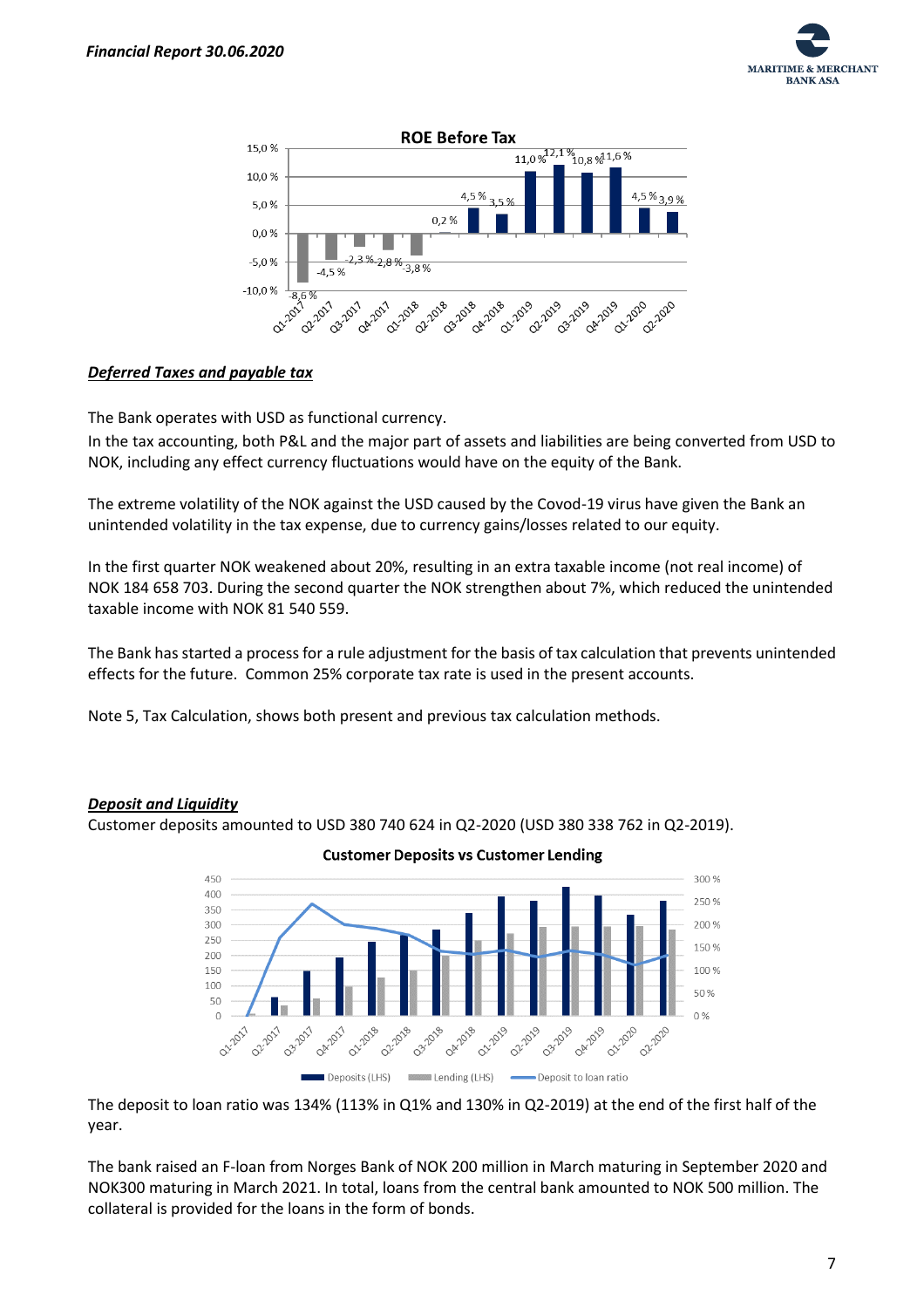



#### *Deferred Taxes and payable tax*

The Bank operates with USD as functional currency.

In the tax accounting, both P&L and the major part of assets and liabilities are being converted from USD to NOK, including any effect currency fluctuations would have on the equity of the Bank.

The extreme volatility of the NOK against the USD caused by the Covod-19 virus have given the Bank an unintended volatility in the tax expense, due to currency gains/losses related to our equity.

In the first quarter NOK weakened about 20%, resulting in an extra taxable income (not real income) of NOK 184 658 703. During the second quarter the NOK strengthen about 7%, which reduced the unintended taxable income with NOK 81 540 559.

The Bank has started a process for a rule adjustment for the basis of tax calculation that prevents unintended effects for the future. Common 25% corporate tax rate is used in the present accounts.

Note 5, Tax Calculation, shows both present and previous tax calculation methods.

#### *Deposit and Liquidity*

Customer deposits amounted to USD 380 740 624 in Q2-2020 (USD 380 338 762 in Q2-2019).





The deposit to loan ratio was 134% (113% in Q1% and 130% in Q2-2019) at the end of the first half of the year.

The bank raised an F-loan from Norges Bank of NOK 200 million in March maturing in September 2020 and NOK300 maturing in March 2021. In total, loans from the central bank amounted to NOK 500 million. The collateral is provided for the loans in the form of bonds.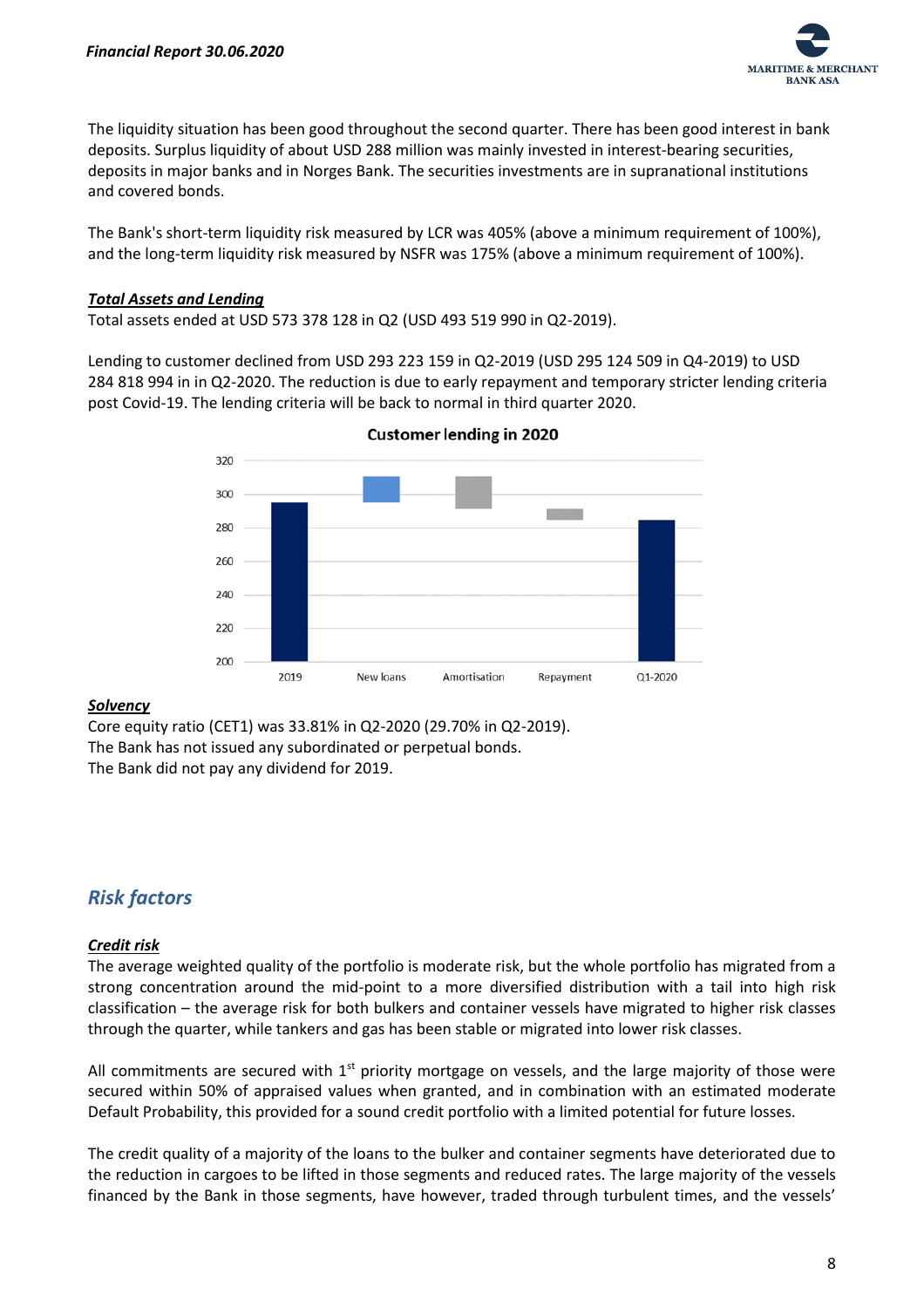

The liquidity situation has been good throughout the second quarter. There has been good interest in bank deposits. Surplus liquidity of about USD 288 million was mainly invested in interest-bearing securities, deposits in major banks and in Norges Bank. The securities investments are in supranational institutions and covered bonds.

The Bank's short-term liquidity risk measured by LCR was 405% (above a minimum requirement of 100%), and the long-term liquidity risk measured by NSFR was 175% (above a minimum requirement of 100%).

#### *Total Assets and Lending*

Total assets ended at USD 573 378 128 in Q2 (USD 493 519 990 in Q2-2019).

Lending to customer declined from USD 293 223 159 in Q2-2019 (USD 295 124 509 in Q4-2019) to USD 284 818 994 in in Q2-2020. The reduction is due to early repayment and temporary stricter lending criteria post Covid-19. The lending criteria will be back to normal in third quarter 2020.



**Customer lending in 2020** 

#### *Solvency*

Core equity ratio (CET1) was 33.81% in Q2-2020 (29.70% in Q2-2019). The Bank has not issued any subordinated or perpetual bonds. The Bank did not pay any dividend for 2019.

# *Risk factors*

#### *Credit risk*

The average weighted quality of the portfolio is moderate risk, but the whole portfolio has migrated from a strong concentration around the mid-point to a more diversified distribution with a tail into high risk classification – the average risk for both bulkers and container vessels have migrated to higher risk classes through the quarter, while tankers and gas has been stable or migrated into lower risk classes.

All commitments are secured with  $1<sup>st</sup>$  priority mortgage on vessels, and the large majority of those were secured within 50% of appraised values when granted, and in combination with an estimated moderate Default Probability, this provided for a sound credit portfolio with a limited potential for future losses.

The credit quality of a majority of the loans to the bulker and container segments have deteriorated due to the reduction in cargoes to be lifted in those segments and reduced rates. The large majority of the vessels financed by the Bank in those segments, have however, traded through turbulent times, and the vessels'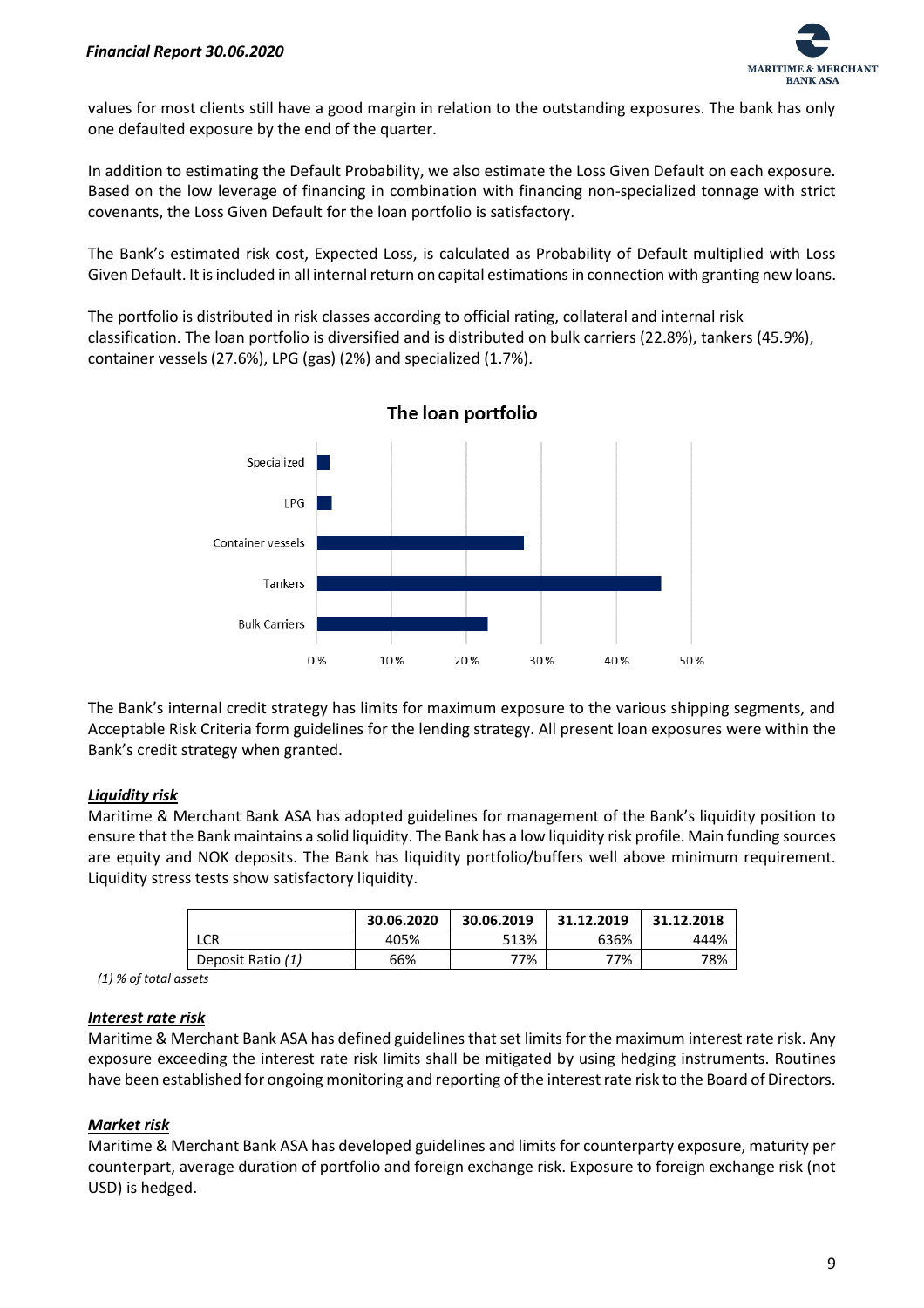

values for most clients still have a good margin in relation to the outstanding exposures. The bank has only one defaulted exposure by the end of the quarter.

In addition to estimating the Default Probability, we also estimate the Loss Given Default on each exposure. Based on the low leverage of financing in combination with financing non-specialized tonnage with strict covenants, the Loss Given Default for the loan portfolio is satisfactory.

The Bank's estimated risk cost, Expected Loss, is calculated as Probability of Default multiplied with Loss Given Default. It is included in all internal return on capital estimations in connection with granting new loans.

The portfolio is distributed in risk classes according to official rating, collateral and internal risk classification. The loan portfolio is diversified and is distributed on bulk carriers (22.8%), tankers (45.9%), container vessels (27.6%), LPG (gas) (2%) and specialized (1.7%).



The loan portfolio

The Bank's internal credit strategy has limits for maximum exposure to the various shipping segments, and Acceptable Risk Criteria form guidelines for the lending strategy. All present loan exposures were within the Bank's credit strategy when granted.

#### *Liquidity risk*

Maritime & Merchant Bank ASA has adopted guidelines for management of the Bank's liquidity position to ensure that the Bank maintains a solid liquidity. The Bank has a low liquidity risk profile. Main funding sources are equity and NOK deposits. The Bank has liquidity portfolio/buffers well above minimum requirement. Liquidity stress tests show satisfactory liquidity.

|                   | 30.06.2020 | 30.06.2019 | 31.12.2019 | 31.12.2018 |
|-------------------|------------|------------|------------|------------|
| <b>LCR</b>        | 405%       | 513%       | 636%       | 444%       |
| Deposit Ratio (1) | 66%        | 77%        | 77%        | 78%        |

 *(1) % of total assets*

#### *Interest rate risk*

Maritime & Merchant Bank ASA has defined guidelines that set limits for the maximum interest rate risk. Any exposure exceeding the interest rate risk limits shall be mitigated by using hedging instruments. Routines have been established for ongoing monitoring and reporting of the interest rate risk to the Board of Directors.

#### *Market risk*

Maritime & Merchant Bank ASA has developed guidelines and limits for counterparty exposure, maturity per counterpart, average duration of portfolio and foreign exchange risk. Exposure to foreign exchange risk (not USD) is hedged.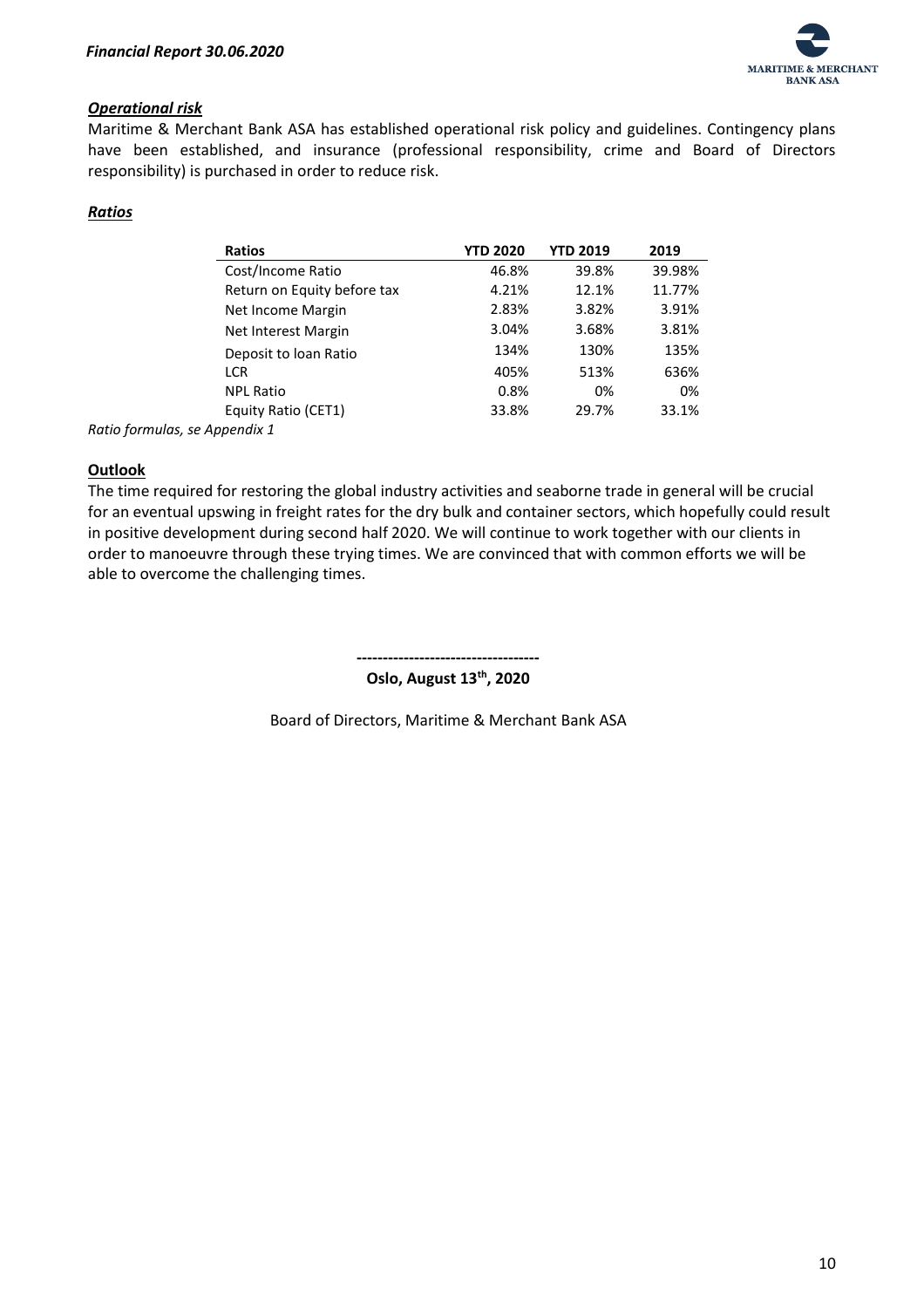

#### *Operational risk*

Maritime & Merchant Bank ASA has established operational risk policy and guidelines. Contingency plans have been established, and insurance (professional responsibility, crime and Board of Directors responsibility) is purchased in order to reduce risk.

#### *Ratios*

| <b>Ratios</b>                 | <b>YTD 2020</b> | <b>YTD 2019</b> | 2019   |
|-------------------------------|-----------------|-----------------|--------|
| Cost/Income Ratio             | 46.8%           | 39.8%           | 39.98% |
| Return on Equity before tax   | 4.21%           | 12.1%           | 11.77% |
| Net Income Margin             | 2.83%           | 3.82%           | 3.91%  |
| Net Interest Margin           | 3.04%           | 3.68%           | 3.81%  |
| Deposit to loan Ratio         | 134%            | 130%            | 135%   |
| <b>LCR</b>                    | 405%            | 513%            | 636%   |
| <b>NPL Ratio</b>              | 0.8%            | 0%              | 0%     |
| Equity Ratio (CET1)           | 33.8%           | 29.7%           | 33.1%  |
| Ratio formulas, se Appendix 1 |                 |                 |        |

#### **Outlook**

The time required for restoring the global industry activities and seaborne trade in general will be crucial for an eventual upswing in freight rates for the dry bulk and container sectors, which hopefully could result in positive development during second half 2020. We will continue to work together with our clients in order to manoeuvre through these trying times. We are convinced that with common efforts we will be able to overcome the challenging times.

> **----------------------------------- Oslo, August 13th, 2020**

Board of Directors, Maritime & Merchant Bank ASA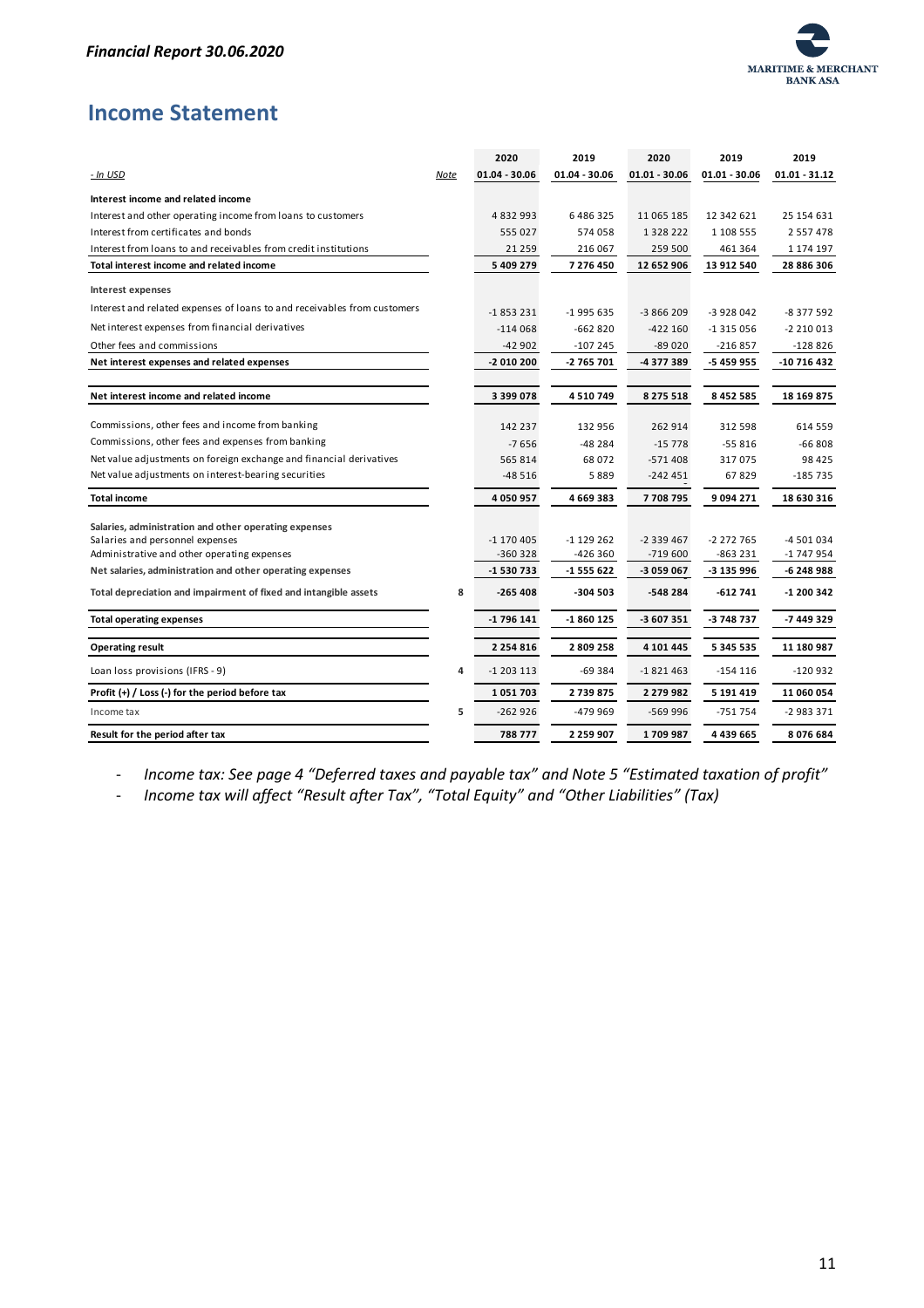

# <span id="page-11-0"></span>**Income Statement**

|                                                                                                                                         |      | 2020                    | 2019                   | 2020                    | 2019                   | 2019                     |
|-----------------------------------------------------------------------------------------------------------------------------------------|------|-------------------------|------------------------|-------------------------|------------------------|--------------------------|
| - In USD                                                                                                                                | Note | $01.04 - 30.06$         | $01.04 - 30.06$        | $01.01 - 30.06$         | $01.01 - 30.06$        | $01.01 - 31.12$          |
| Interest income and related income                                                                                                      |      |                         |                        |                         |                        |                          |
| Interest and other operating income from loans to customers                                                                             |      | 4832993                 | 6486325                | 11 065 185              | 12 342 621             | 25 154 631               |
| Interest from certificates and bonds                                                                                                    |      | 555 027                 | 574 058                | 1 3 2 8 2 2 2           | 1 108 555              | 2 5 5 7 4 7 8            |
| Interest from loans to and receivables from credit institutions                                                                         |      | 21 259                  | 216 067                | 259 500                 | 461 364                | 1 174 197                |
| Total interest income and related income                                                                                                |      | 5 409 279               | 7 276 450              | 12 652 906              | 13 912 540             | 28 886 306               |
| Interest expenses                                                                                                                       |      |                         |                        |                         |                        |                          |
| Interest and related expenses of loans to and receivables from customers                                                                |      | $-1853231$              | $-1995635$             | $-3866209$              | -3 928 042             | -8 377 592               |
| Net interest expenses from financial derivatives                                                                                        |      | $-114068$               | $-662820$              | $-422160$               | $-1315056$             | $-2210013$               |
| Other fees and commissions                                                                                                              |      | $-42902$                | $-107245$              | $-89020$                | -216 857               | $-128826$                |
| Net interest expenses and related expenses                                                                                              |      | -2 010 200              | -2 765 701             | -4 377 389              | -5 459 955             | -10 716 432              |
| Net interest income and related income                                                                                                  |      | 3 399 078               | 4510749                | 8 275 518               | 8 4 5 2 5 8 5          | 18 169 875               |
| Commissions, other fees and income from banking                                                                                         |      | 142 237                 | 132 956                | 262 914                 | 312 598                | 614 559                  |
| Commissions, other fees and expenses from banking                                                                                       |      | $-7656$                 | $-48284$               | $-15778$                | $-55816$               | $-66808$                 |
| Net value adjustments on foreign exchange and financial derivatives                                                                     |      | 565 814                 | 68 072                 | $-571408$               | 317075                 | 98 4 25                  |
| Net value adjustments on interest-bearing securities                                                                                    |      | $-48516$                | 5889                   | $-242451$               | 67829                  | $-185735$                |
| <b>Total income</b>                                                                                                                     |      | 4 0 5 0 9 5 7           | 4669383                | 7708795                 | 9094271                | 18 630 316               |
| Salaries, administration and other operating expenses<br>Salaries and personnel expenses<br>Administrative and other operating expenses |      | $-1170405$<br>$-360328$ | $-1129262$<br>-426 360 | $-2339467$<br>$-719600$ | -2 272 765<br>-863 231 | -4 501 034<br>-1 747 954 |
| Net salaries, administration and other operating expenses                                                                               |      | -1 530 733              | -1 555 622             | -3 059 067              | -3 135 996             | -6 248 988               |
| Total depreciation and impairment of fixed and intangible assets                                                                        | 8    | $-265408$               | $-304503$              | $-548284$               | $-612741$              | -1 200 342               |
| <b>Total operating expenses</b>                                                                                                         |      | -1 796 141              | -1 860 125             | -3 607 351              | -3 748 737             | -7 449 329               |
| <b>Operating result</b>                                                                                                                 |      | 2 2 5 4 8 1 6           | 2809258                | 4 101 445               | 5 3 4 5 5 3 5          | 11 180 987               |
| Loan loss provisions (IFRS - 9)                                                                                                         | 4    | $-1203113$              | $-69384$               | $-1821463$              | $-154116$              | $-120932$                |
| Profit $(+)$ / Loss (-) for the period before tax                                                                                       |      | 1051703                 | 2739875                | 2 279 982               | 5 191 4 19             | 11 060 054               |
| Income tax                                                                                                                              | 5    | $-262926$               | -479 969               | $-569996$               | $-751754$              | -2 983 371               |
| Result for the period after tax                                                                                                         |      | 788 777                 | 2 259 907              | 1709987                 | 4 439 665              | 8076684                  |

- *Income tax: See page 4 "Deferred taxes and payable tax" and Note 5 "Estimated taxation of profit"*

- *Income tax will affect "Result after Tax", "Total Equity" and "Other Liabilities" (Tax)*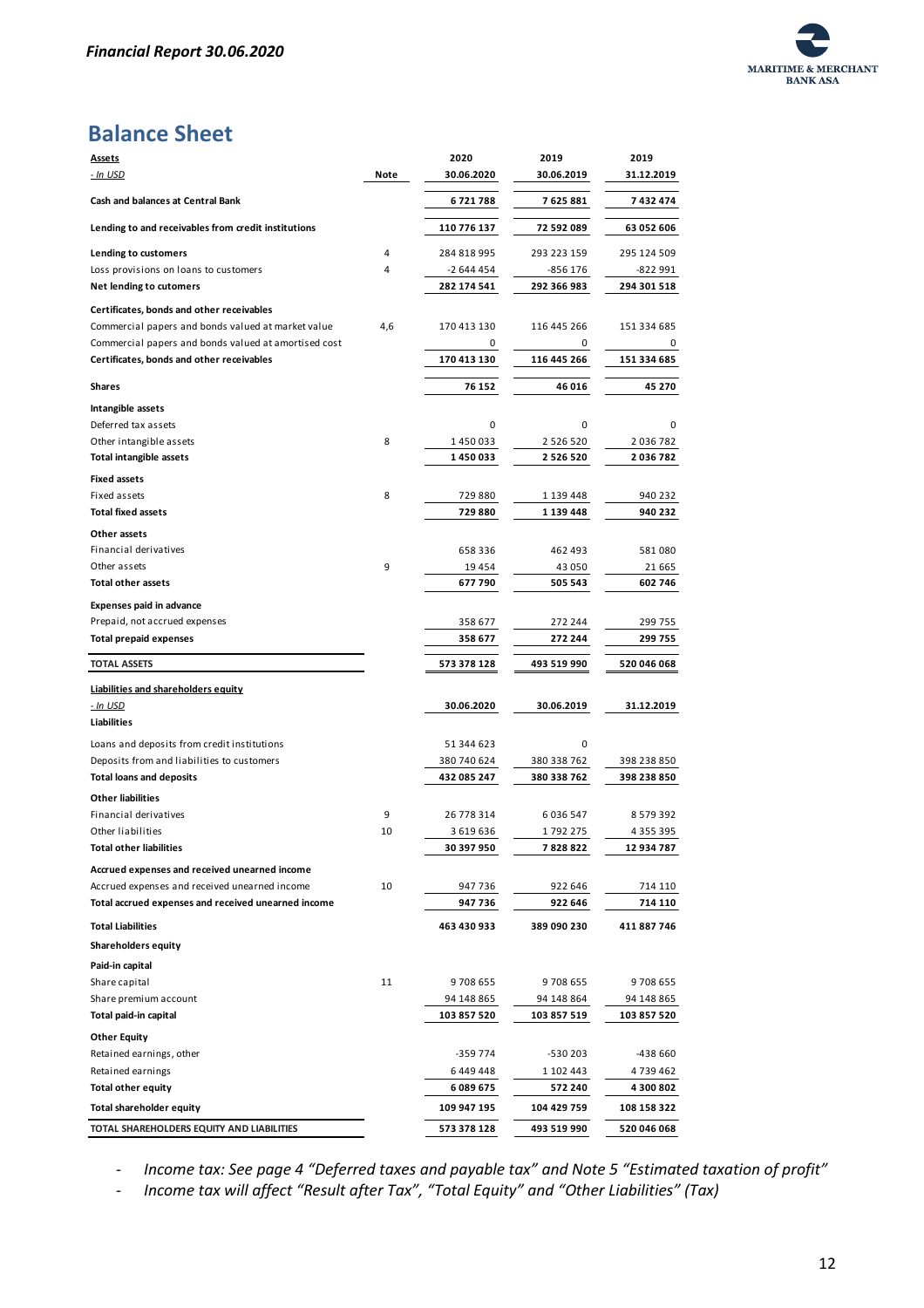

# **Balance Sheet**

| <b>Assets</b>                                                                                                                                                                                                                                          |         | 2020                        | 2019               | 2019                                                                                                                                                                           |
|--------------------------------------------------------------------------------------------------------------------------------------------------------------------------------------------------------------------------------------------------------|---------|-----------------------------|--------------------|--------------------------------------------------------------------------------------------------------------------------------------------------------------------------------|
| <u>- In USD</u>                                                                                                                                                                                                                                        | Note    | 30.06.2020                  | 30.06.2019         | 31.12.2019                                                                                                                                                                     |
| Cash and balances at Central Bank                                                                                                                                                                                                                      |         | 6721788                     | 7 625 881          | 7 432 474                                                                                                                                                                      |
| Lending to and receivables from credit institutions                                                                                                                                                                                                    |         | 110 776 137                 | 72 592 089         | 63 052 606                                                                                                                                                                     |
| Lending to customers                                                                                                                                                                                                                                   | 4       | 284 818 995                 | 293 223 159        | 295 124 509                                                                                                                                                                    |
| Loss provisions on loans to customers                                                                                                                                                                                                                  | 4       | -2 644 454                  | -856 176           | -822 991                                                                                                                                                                       |
| Net lending to cutomers                                                                                                                                                                                                                                |         | 282 174 541                 | 292 366 983        | 294 301 518                                                                                                                                                                    |
| Certificates, bonds and other receivables                                                                                                                                                                                                              |         |                             |                    |                                                                                                                                                                                |
| Commercial papers and bonds valued at market value                                                                                                                                                                                                     | 4,6     | 170 413 130                 | 116 445 266        | 151 334 685                                                                                                                                                                    |
| Commercial papers and bonds valued at amortised cost                                                                                                                                                                                                   |         | 0                           | 0                  | 0                                                                                                                                                                              |
| Certificates, bonds and other receivables                                                                                                                                                                                                              |         | 170 413 130                 | 116 445 266        | 151 334 685                                                                                                                                                                    |
|                                                                                                                                                                                                                                                        |         |                             |                    |                                                                                                                                                                                |
| <b>Shares</b>                                                                                                                                                                                                                                          |         | 76 152                      | 46 016             | 45 270                                                                                                                                                                         |
| Intangible assets                                                                                                                                                                                                                                      |         |                             |                    |                                                                                                                                                                                |
| Deferred tax assets                                                                                                                                                                                                                                    |         | 0                           | 0                  | 0                                                                                                                                                                              |
| Other intangible assets                                                                                                                                                                                                                                | 8       | 1450033                     | 2 5 2 6 5 2 0      | 2 036 782                                                                                                                                                                      |
| <b>Total intangible assets</b>                                                                                                                                                                                                                         |         | 1450033                     | 2 5 2 6 5 2 0      | 2036782                                                                                                                                                                        |
| <b>Fixed assets</b>                                                                                                                                                                                                                                    |         |                             |                    |                                                                                                                                                                                |
| Fixed assets                                                                                                                                                                                                                                           | 8       | 729 880                     | 1 139 448          | 940 232                                                                                                                                                                        |
| <b>Total fixed assets</b>                                                                                                                                                                                                                              |         | 729 880                     | 1 139 448          | 940 232                                                                                                                                                                        |
| Other assets                                                                                                                                                                                                                                           |         |                             |                    |                                                                                                                                                                                |
| Financial derivatives                                                                                                                                                                                                                                  |         | 658 336                     | 462 493            | 581080                                                                                                                                                                         |
| Other assets                                                                                                                                                                                                                                           | 9       | 19 4 54                     | 43 050             | 21 665                                                                                                                                                                         |
| <b>Total other assets</b>                                                                                                                                                                                                                              |         | 677 790                     | 505 543            | 602 746                                                                                                                                                                        |
| <b>Expenses paid in advance</b>                                                                                                                                                                                                                        |         |                             |                    |                                                                                                                                                                                |
| Prepaid, not accrued expenses                                                                                                                                                                                                                          |         | 358 677                     | 272 244            | 299 755                                                                                                                                                                        |
| <b>Total prepaid expenses</b>                                                                                                                                                                                                                          |         | 358 677                     | 272 244            | 299 755                                                                                                                                                                        |
| <b>TOTAL ASSETS</b>                                                                                                                                                                                                                                    |         | 573 378 128                 | 493 519 990        | 520 046 068                                                                                                                                                                    |
| <b>Liabilities and shareholders equity</b>                                                                                                                                                                                                             |         |                             |                    |                                                                                                                                                                                |
| - In USD                                                                                                                                                                                                                                               |         | 30.06.2020                  | 30.06.2019         | 31.12.2019                                                                                                                                                                     |
| Liabilities                                                                                                                                                                                                                                            |         |                             |                    |                                                                                                                                                                                |
| Loans and deposits from credit institutions                                                                                                                                                                                                            |         | 51 344 623                  | 0                  |                                                                                                                                                                                |
| Deposits from and liabilities to customers                                                                                                                                                                                                             |         | 380 740 624                 | 380 338 762        | 398 238 850                                                                                                                                                                    |
| <b>Total loans and deposits</b>                                                                                                                                                                                                                        |         | 432 085 247                 | 380 338 762        | 398 238 850                                                                                                                                                                    |
| <b>Other liabilities</b>                                                                                                                                                                                                                               |         |                             |                    |                                                                                                                                                                                |
| Financial derivatives                                                                                                                                                                                                                                  |         |                             |                    |                                                                                                                                                                                |
| Other liabilities                                                                                                                                                                                                                                      |         |                             |                    |                                                                                                                                                                                |
|                                                                                                                                                                                                                                                        | 9<br>10 | 26 778 314                  | 6036547            |                                                                                                                                                                                |
|                                                                                                                                                                                                                                                        |         | 3 6 1 9 6 3 6<br>30 397 950 | 1792275<br>7828822 |                                                                                                                                                                                |
|                                                                                                                                                                                                                                                        |         |                             |                    |                                                                                                                                                                                |
|                                                                                                                                                                                                                                                        |         |                             |                    |                                                                                                                                                                                |
|                                                                                                                                                                                                                                                        | 10      | 947 736<br>947 736          | 922 646<br>922 646 |                                                                                                                                                                                |
|                                                                                                                                                                                                                                                        |         |                             |                    |                                                                                                                                                                                |
|                                                                                                                                                                                                                                                        |         | 463 430 933                 | 389 090 230        |                                                                                                                                                                                |
|                                                                                                                                                                                                                                                        |         |                             |                    |                                                                                                                                                                                |
| Total other liabilities<br>Accrued expenses and received unearned income<br>Accrued expenses and received unearned income<br>Total accrued expenses and received unearned income<br><b>Total Liabilities</b><br>Shareholders equity<br>Paid-in capital |         |                             |                    |                                                                                                                                                                                |
|                                                                                                                                                                                                                                                        | 11      | 9708655                     | 9708655            |                                                                                                                                                                                |
|                                                                                                                                                                                                                                                        |         | 94 148 865                  | 94 148 864         |                                                                                                                                                                                |
|                                                                                                                                                                                                                                                        |         | 103 857 520                 | 103 857 519        |                                                                                                                                                                                |
|                                                                                                                                                                                                                                                        |         |                             |                    |                                                                                                                                                                                |
|                                                                                                                                                                                                                                                        |         | -359 774                    | -530 203           |                                                                                                                                                                                |
|                                                                                                                                                                                                                                                        |         | 6449448                     | 1 102 443          |                                                                                                                                                                                |
|                                                                                                                                                                                                                                                        |         | 6089675                     | 572 240            |                                                                                                                                                                                |
| Share capital<br>Share premium account<br>Total paid-in capital<br><b>Other Equity</b><br>Retained earnings, other<br>Retained earnings<br><b>Total other equity</b><br>Total shareholder equity                                                       |         | 109 947 195                 | 104 429 759        | 8 5 7 9 3 9 2<br>4 3 5 5 3 9 5<br>12 934 787<br>714 110<br>714 110<br>411 887 746<br>9708655<br>94 148 865<br>103 857 520<br>-438 660<br>4 739 462<br>4 300 802<br>108 158 322 |

- *Income tax: See page 4 "Deferred taxes and payable tax" and Note 5 "Estimated taxation of profit"*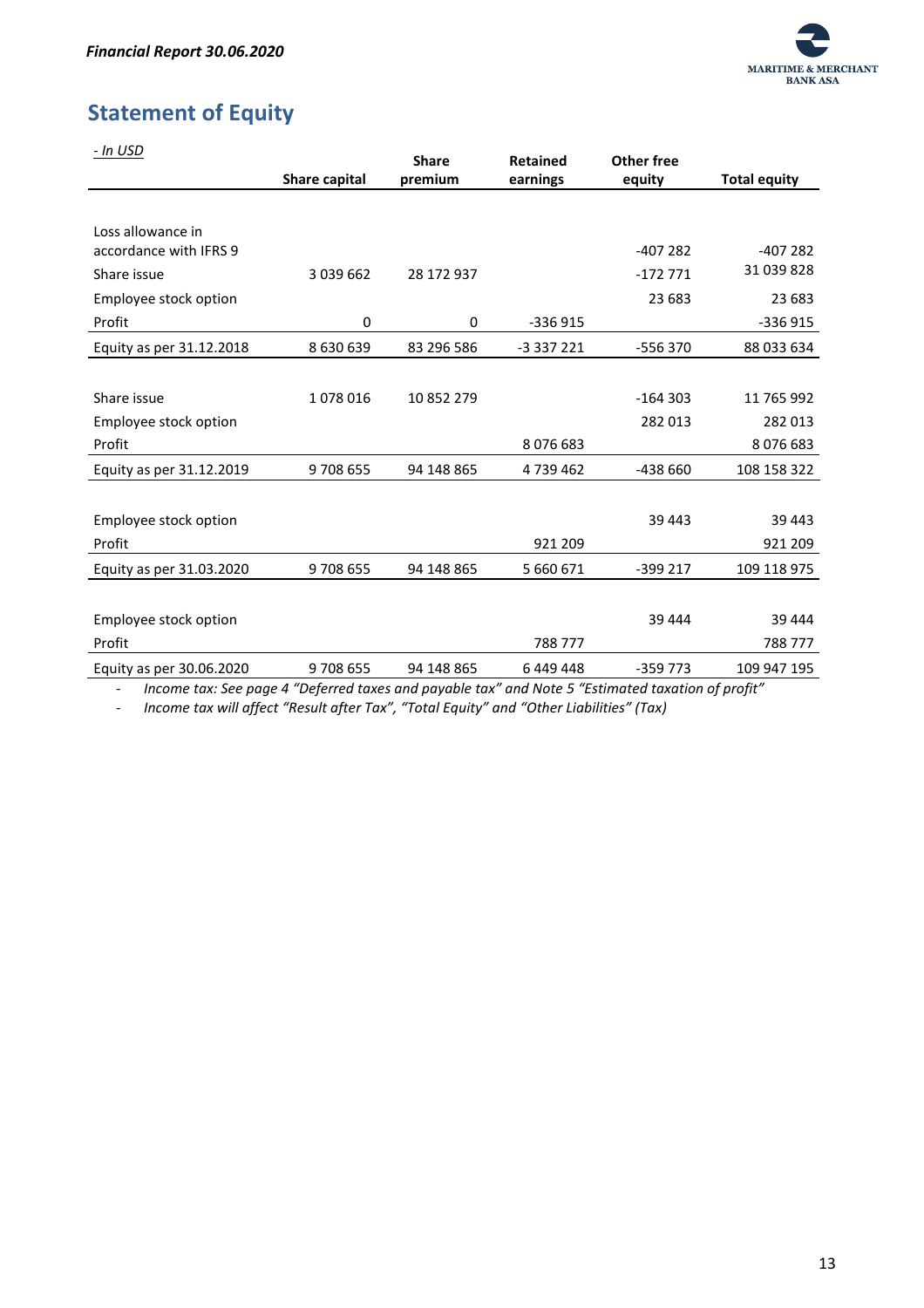

# <span id="page-13-0"></span>**Statement of Equity**

| - In USD                                    |               | <b>Share</b> | <b>Retained</b> | Other free |                     |
|---------------------------------------------|---------------|--------------|-----------------|------------|---------------------|
|                                             | Share capital | premium      | earnings        | equity     | <b>Total equity</b> |
|                                             |               |              |                 |            |                     |
| Loss allowance in<br>accordance with IFRS 9 |               |              |                 | $-407282$  | $-407282$           |
| Share issue                                 | 3 0 3 9 6 6 2 | 28 172 937   |                 | $-172771$  | 31 039 828          |
| Employee stock option                       |               |              |                 | 23 683     | 23 683              |
| Profit                                      | $\mathbf 0$   | 0            | $-336915$       |            | -336 915            |
| Equity as per 31.12.2018                    | 8 630 639     | 83 296 586   | -3 337 221      | -556 370   | 88 033 634          |
|                                             |               |              |                 |            |                     |
| Share issue                                 | 1078016       | 10 852 279   |                 | $-164303$  | 11 765 992          |
| Employee stock option                       |               |              |                 | 282 013    | 282 013             |
| Profit                                      |               |              | 8076683         |            | 8076683             |
| Equity as per 31.12.2019                    | 9708655       | 94 148 865   | 4739462         | -438 660   | 108 158 322         |
|                                             |               |              |                 |            |                     |
| Employee stock option                       |               |              |                 | 39 443     | 39 443              |
| Profit                                      |               |              | 921 209         |            | 921 209             |
| Equity as per 31.03.2020                    | 9708655       | 94 148 865   | 5 660 671       | -399 217   | 109 118 975         |
|                                             |               |              |                 |            |                     |
| Employee stock option                       |               |              |                 | 39 444     | 39 444              |
| Profit                                      |               |              | 788 777         |            | 788 777             |
| Equity as per 30.06.2020                    | 9708655       | 94 148 865   | 6449448         | $-359773$  | 109 947 195         |

- *Income tax: See page 4 "Deferred taxes and payable tax" and Note 5 "Estimated taxation of profit"*

- *Income tax will affect "Result after Tax", "Total Equity" and "Other Liabilities" (Tax)*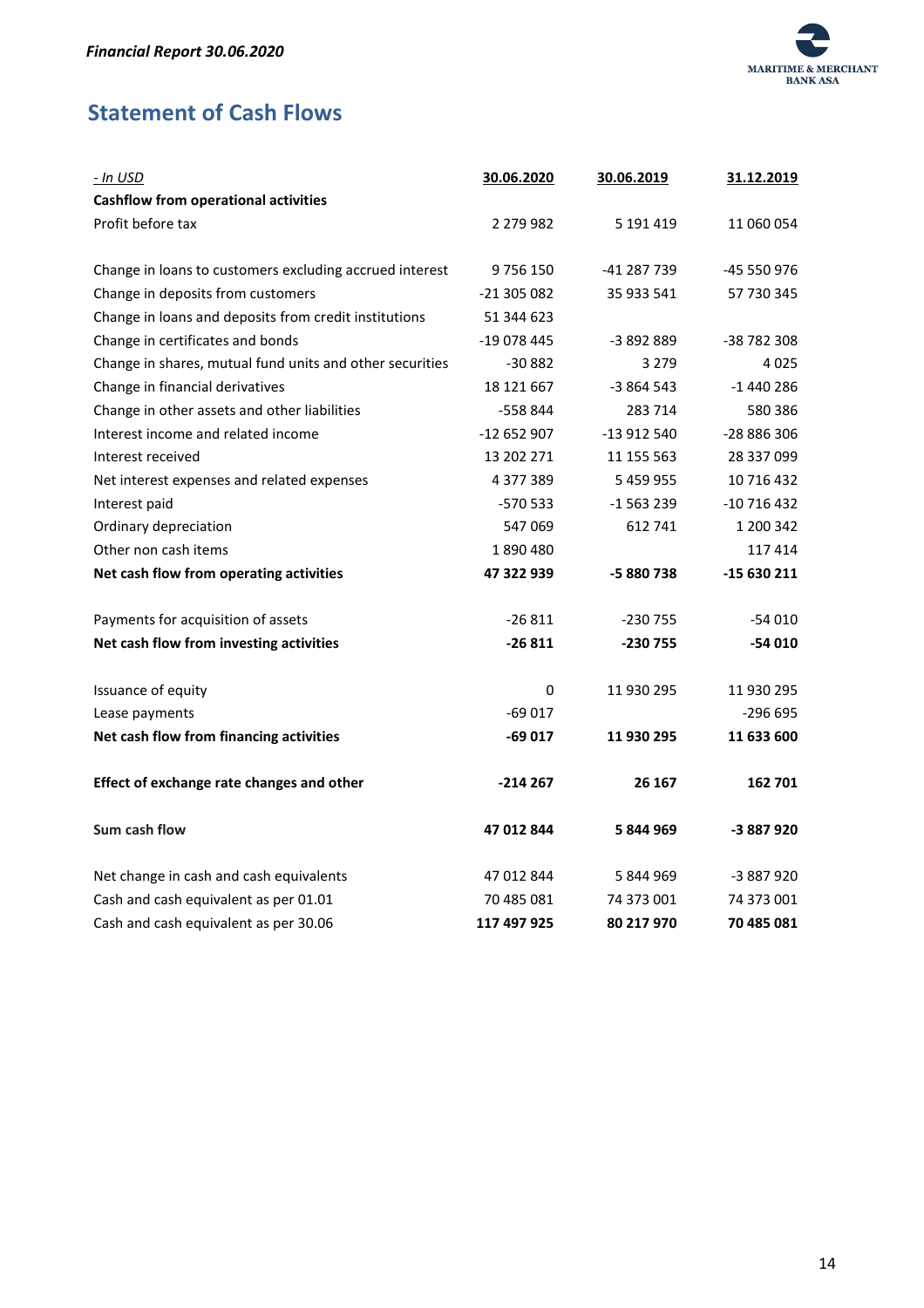

# <span id="page-14-0"></span>**Statement of Cash Flows**

| - In USD                                                 | 30.06.2020  | 30.06.2019  | 31.12.2019  |
|----------------------------------------------------------|-------------|-------------|-------------|
| <b>Cashflow from operational activities</b>              |             |             |             |
| Profit before tax                                        | 2 279 982   | 5 191 419   | 11 060 054  |
|                                                          |             |             |             |
| Change in loans to customers excluding accrued interest  | 9756150     | -41 287 739 | -45 550 976 |
| Change in deposits from customers                        | -21 305 082 | 35 933 541  | 57 730 345  |
| Change in loans and deposits from credit institutions    | 51 344 623  |             |             |
| Change in certificates and bonds                         | -19 078 445 | -3 892 889  | -38 782 308 |
| Change in shares, mutual fund units and other securities | $-30882$    | 3 2 7 9     | 4025        |
| Change in financial derivatives                          | 18 121 667  | $-3864543$  | $-1440286$  |
| Change in other assets and other liabilities             | -558 844    | 283 714     | 580 386     |
| Interest income and related income                       | -12 652 907 | -13 912 540 | -28 886 306 |
| Interest received                                        | 13 202 271  | 11 155 563  | 28 337 099  |
| Net interest expenses and related expenses               | 4 377 389   | 5 459 955   | 10 716 432  |
| Interest paid                                            | -570 533    | $-1563239$  | $-10716432$ |
| Ordinary depreciation                                    | 547069      | 612 741     | 1 200 342   |
| Other non cash items                                     | 1890480     |             | 117414      |
| Net cash flow from operating activities                  | 47 322 939  | -5880738    | -15 630 211 |
| Payments for acquisition of assets                       | $-26811$    | $-230755$   | $-54010$    |
| Net cash flow from investing activities                  | $-26811$    | -230 755    | $-54010$    |
| Issuance of equity                                       | $\mathbf 0$ | 11 930 295  | 11 930 295  |
| Lease payments                                           | $-69017$    |             | $-296695$   |
| Net cash flow from financing activities                  | -69 017     | 11 930 295  | 11 633 600  |
| Effect of exchange rate changes and other                | $-214267$   | 26 167      | 162 701     |
| Sum cash flow                                            | 47 012 844  | 5844969     | -3 887 920  |
| Net change in cash and cash equivalents                  | 47 012 844  | 5 844 969   | -3 887 920  |
| Cash and cash equivalent as per 01.01                    | 70 485 081  | 74 373 001  | 74 373 001  |
| Cash and cash equivalent as per 30.06                    | 117 497 925 | 80 217 970  | 70 485 081  |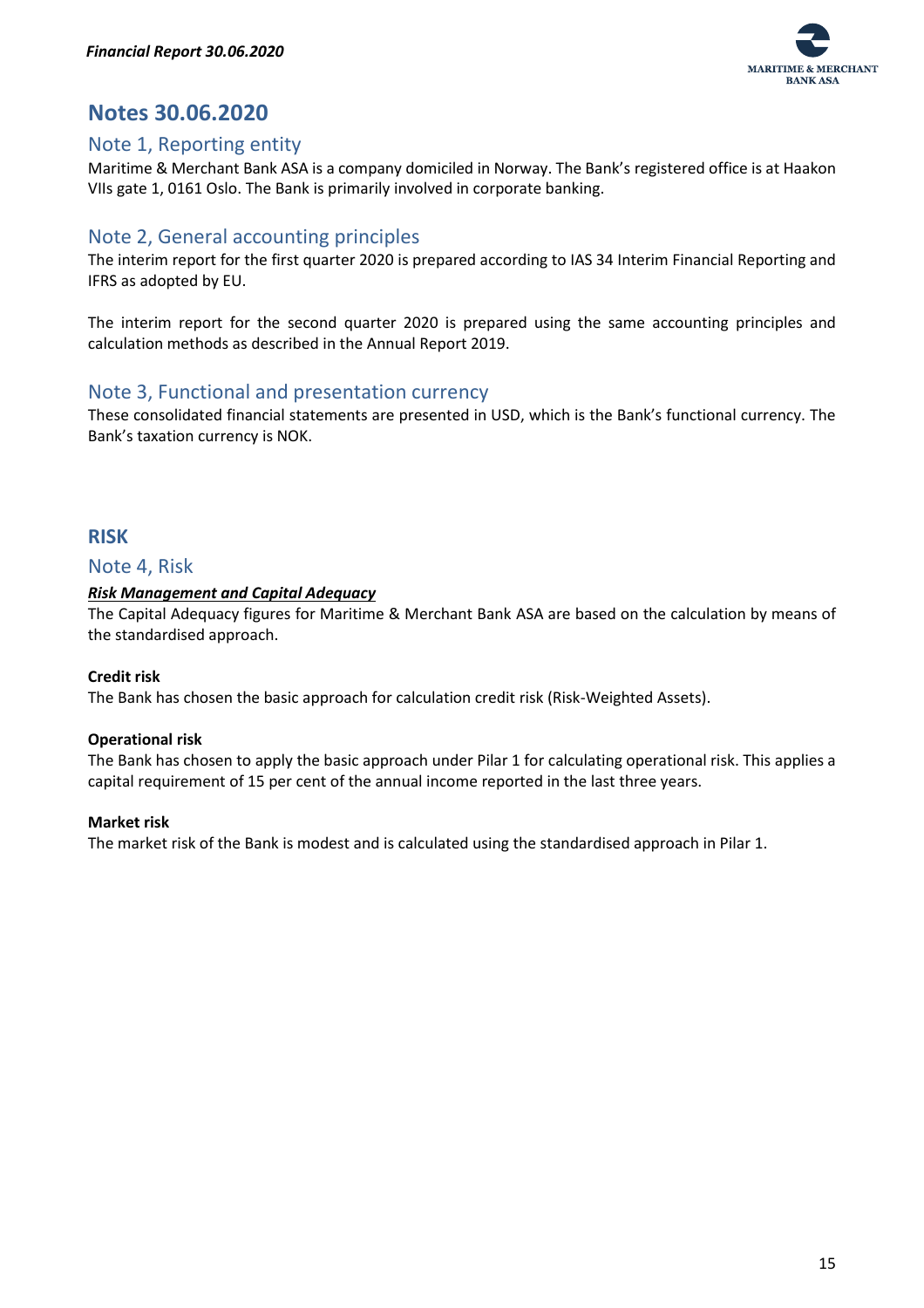

# <span id="page-15-0"></span>**Notes 30.06.2020**

## <span id="page-15-1"></span>Note 1, Reporting entity

Maritime & Merchant Bank ASA is a company domiciled in Norway. The Bank's registered office is at Haakon VIIs gate 1, 0161 Oslo. The Bank is primarily involved in corporate banking.

# <span id="page-15-2"></span>Note 2, General accounting principles

The interim report for the first quarter 2020 is prepared according to IAS 34 Interim Financial Reporting and IFRS as adopted by EU.

The interim report for the second quarter 2020 is prepared using the same accounting principles and calculation methods as described in the Annual Report 2019.

# <span id="page-15-3"></span>Note 3, Functional and presentation currency

These consolidated financial statements are presented in USD, which is the Bank's functional currency. The Bank's taxation currency is NOK.

## <span id="page-15-4"></span>**RISK**

#### <span id="page-15-5"></span>Note 4, Risk

#### <span id="page-15-6"></span>*Risk Management and Capital Adequacy*

The Capital Adequacy figures for Maritime & Merchant Bank ASA are based on the calculation by means of the standardised approach.

#### **Credit risk**

The Bank has chosen the basic approach for calculation credit risk (Risk-Weighted Assets).

#### **Operational risk**

The Bank has chosen to apply the basic approach under Pilar 1 for calculating operational risk. This applies a capital requirement of 15 per cent of the annual income reported in the last three years.

#### **Market risk**

The market risk of the Bank is modest and is calculated using the standardised approach in Pilar 1.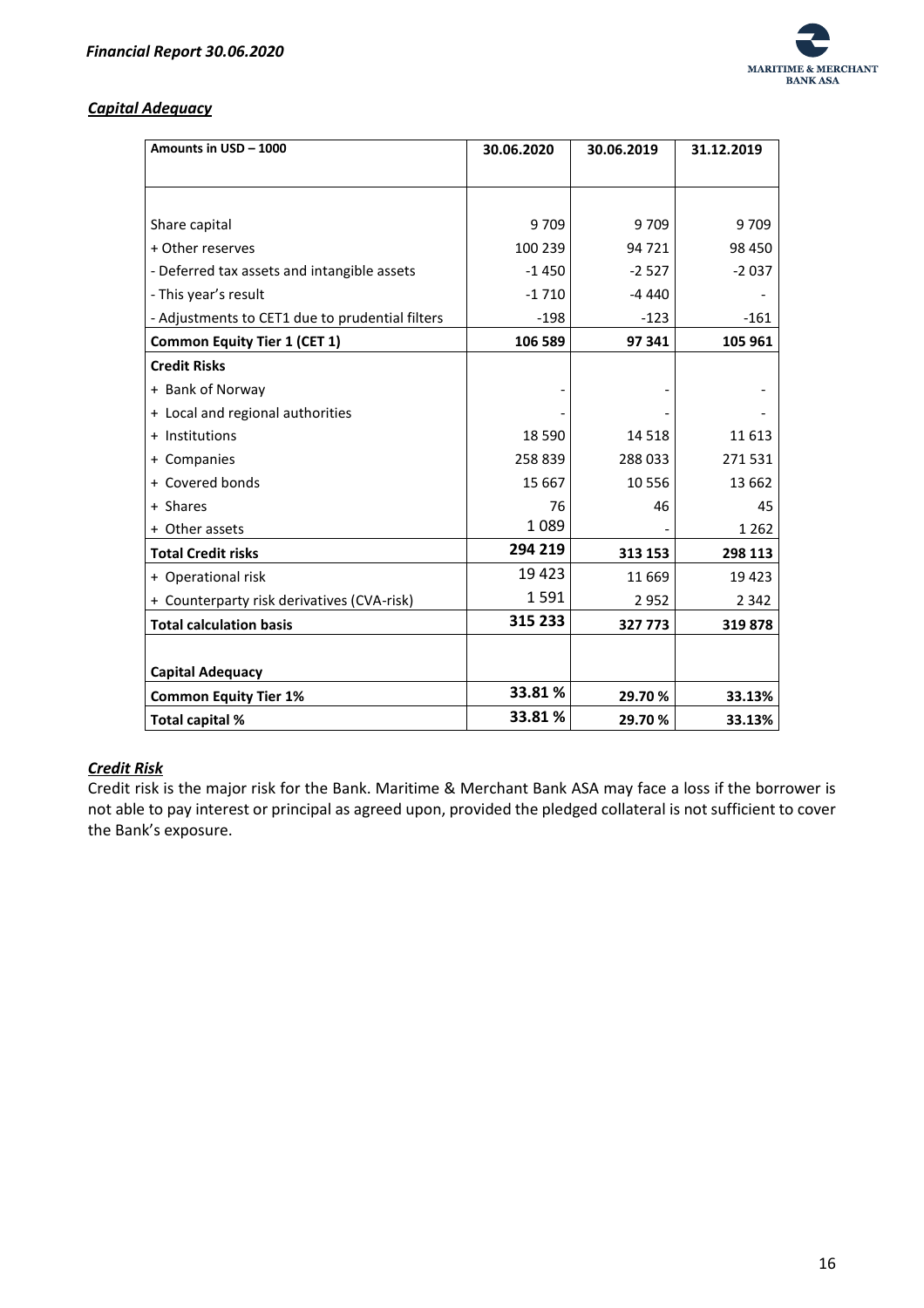

#### <span id="page-16-0"></span>*Capital Adequacy*

| Amounts in USD - 1000                           | 30.06.2020 | 30.06.2019 | 31.12.2019 |
|-------------------------------------------------|------------|------------|------------|
|                                                 |            |            |            |
|                                                 |            |            |            |
| Share capital                                   | 9709       | 9709       | 9 709      |
| + Other reserves                                | 100 239    | 94 721     | 98 450     |
| - Deferred tax assets and intangible assets     | $-1450$    | $-2527$    | $-2037$    |
| - This year's result                            | $-1710$    | $-4440$    |            |
| - Adjustments to CET1 due to prudential filters | $-198$     | $-123$     | $-161$     |
| <b>Common Equity Tier 1 (CET 1)</b>             | 106 589    | 97 341     | 105 961    |
| <b>Credit Risks</b>                             |            |            |            |
| + Bank of Norway                                |            |            |            |
| + Local and regional authorities                |            |            |            |
| + Institutions                                  | 18 5 90    | 14 5 18    | 11 613     |
| + Companies                                     | 258 839    | 288033     | 271531     |
| + Covered bonds                                 | 15 667     | 10556      | 13 662     |
| + Shares                                        | 76         | 46         | 45         |
| + Other assets                                  | 1089       |            | 1 2 6 2    |
| <b>Total Credit risks</b>                       | 294 219    | 313 153    | 298 113    |
| + Operational risk                              | 19 4 23    | 11 6 6 9   | 19 4 23    |
| + Counterparty risk derivatives (CVA-risk)      | 1591       | 2952       | 2 3 4 2    |
| <b>Total calculation basis</b>                  | 315 233    | 327 773    | 319878     |
|                                                 |            |            |            |
| <b>Capital Adequacy</b>                         |            |            |            |
| <b>Common Equity Tier 1%</b>                    | 33.81%     | 29.70%     | 33.13%     |
| Total capital %                                 | 33.81%     | 29.70%     | 33.13%     |

#### <span id="page-16-1"></span>*Credit Risk*

Credit risk is the major risk for the Bank. Maritime & Merchant Bank ASA may face a loss if the borrower is not able to pay interest or principal as agreed upon, provided the pledged collateral is not sufficient to cover the Bank's exposure.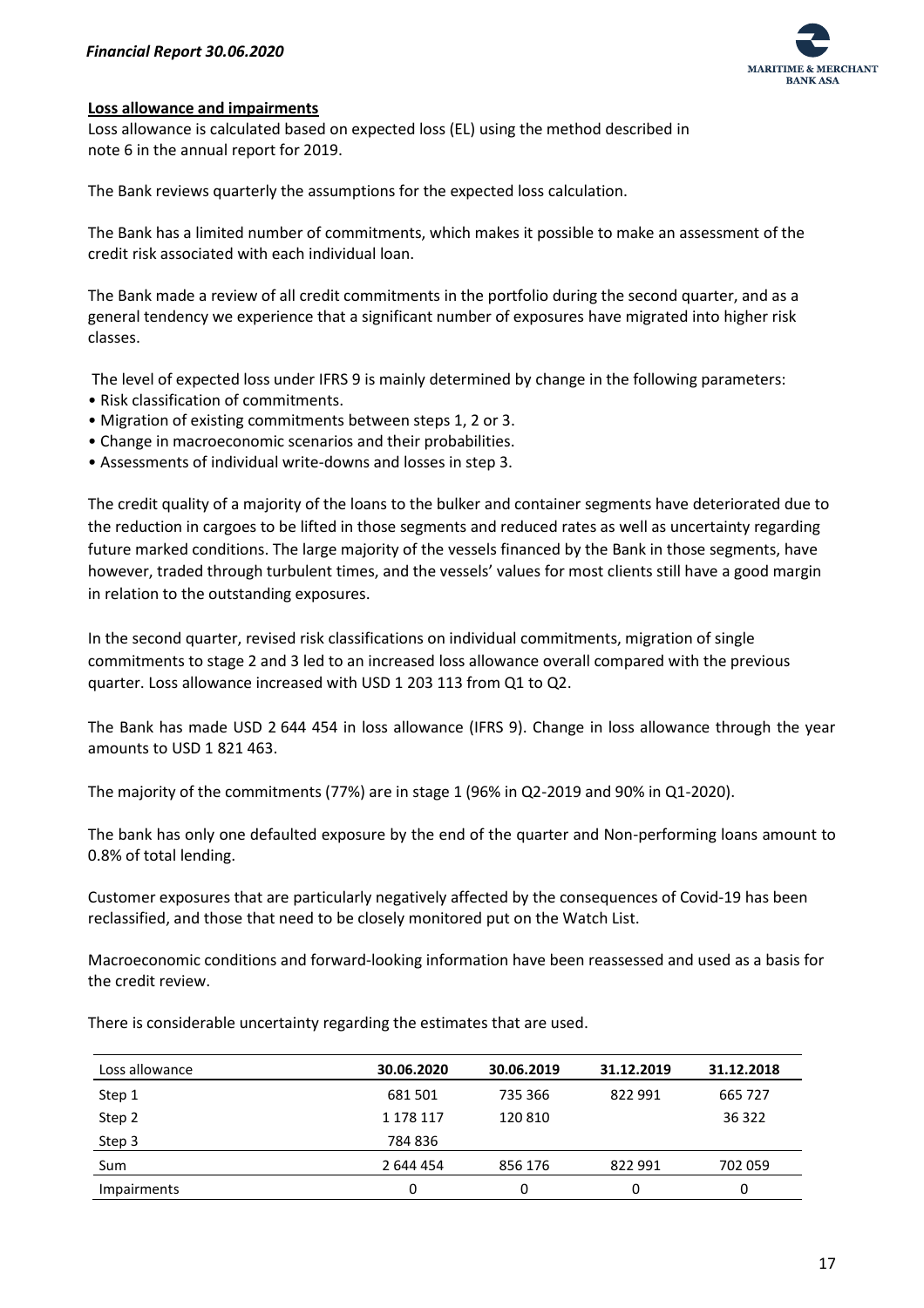

#### **Loss allowance and impairments**

Loss allowance is calculated based on expected loss (EL) using the method described in note 6 in the annual report for 2019.

The Bank reviews quarterly the assumptions for the expected loss calculation.

The Bank has a limited number of commitments, which makes it possible to make an assessment of the credit risk associated with each individual loan.

The Bank made a review of all credit commitments in the portfolio during the second quarter, and as a general tendency we experience that a significant number of exposures have migrated into higher risk classes.

The level of expected loss under IFRS 9 is mainly determined by change in the following parameters:

- Risk classification of commitments.
- Migration of existing commitments between steps 1, 2 or 3.
- Change in macroeconomic scenarios and their probabilities.
- Assessments of individual write-downs and losses in step 3.

The credit quality of a majority of the loans to the bulker and container segments have deteriorated due to the reduction in cargoes to be lifted in those segments and reduced rates as well as uncertainty regarding future marked conditions. The large majority of the vessels financed by the Bank in those segments, have however, traded through turbulent times, and the vessels' values for most clients still have a good margin in relation to the outstanding exposures.

In the second quarter, revised risk classifications on individual commitments, migration of single commitments to stage 2 and 3 led to an increased loss allowance overall compared with the previous quarter. Loss allowance increased with USD 1 203 113 from Q1 to Q2.

The Bank has made USD 2 644 454 in loss allowance (IFRS 9). Change in loss allowance through the year amounts to USD 1 821 463.

The majority of the commitments (77%) are in stage 1 (96% in Q2-2019 and 90% in Q1-2020).

The bank has only one defaulted exposure by the end of the quarter and Non-performing loans amount to 0.8% of total lending.

Customer exposures that are particularly negatively affected by the consequences of Covid-19 has been reclassified, and those that need to be closely monitored put on the Watch List.

Macroeconomic conditions and forward-looking information have been reassessed and used as a basis for the credit review.

There is considerable uncertainty regarding the estimates that are used.

| Loss allowance | 30.06.2020 | 30.06.2019 | 31.12.2019 | 31.12.2018 |
|----------------|------------|------------|------------|------------|
| Step 1         | 681 501    | 735 366    | 822 991    | 665 727    |
| Step 2         | 1 178 117  | 120 810    |            | 36 322     |
| Step 3         | 784836     |            |            |            |
| Sum            | 2 644 454  | 856 176    | 822 991    | 702 059    |
| Impairments    | 0          | ი          | 0          | 0          |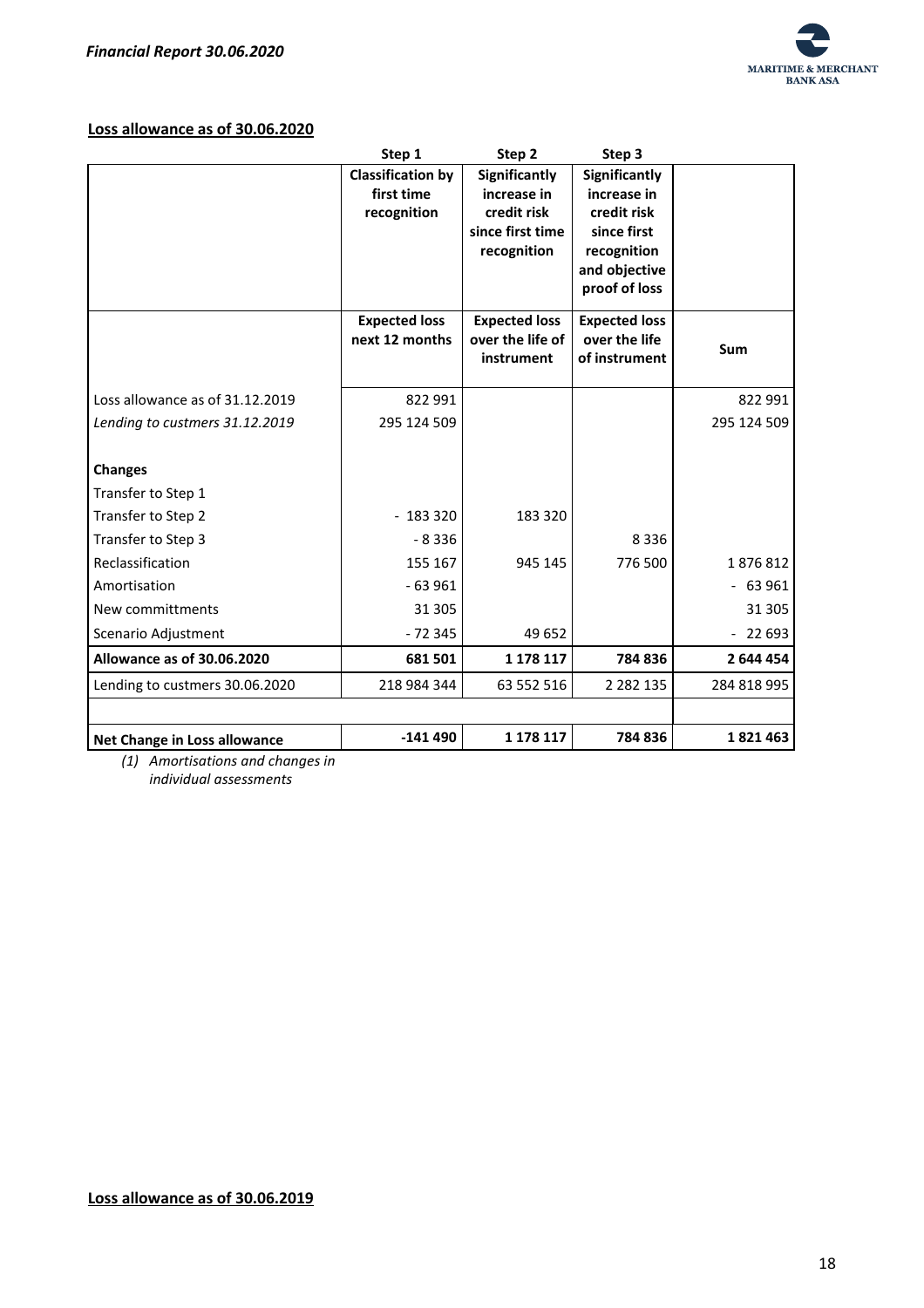

#### **Loss allowance as of 30.06.2020**

|                                   | Step 1                   | Step 2               | Step 3                         |             |
|-----------------------------------|--------------------------|----------------------|--------------------------------|-------------|
|                                   | <b>Classification by</b> | Significantly        | Significantly                  |             |
|                                   | first time               | increase in          | increase in                    |             |
|                                   | recognition              | credit risk          | credit risk                    |             |
|                                   |                          | since first time     | since first                    |             |
|                                   |                          | recognition          | recognition                    |             |
|                                   |                          |                      | and objective<br>proof of loss |             |
|                                   |                          |                      |                                |             |
|                                   | <b>Expected loss</b>     | <b>Expected loss</b> | <b>Expected loss</b>           |             |
|                                   | next 12 months           | over the life of     | over the life                  | Sum         |
|                                   |                          | instrument           | of instrument                  |             |
| Loss allowance as of 31.12.2019   | 822 991                  |                      |                                | 822 991     |
|                                   |                          |                      |                                |             |
| Lending to custmers 31.12.2019    | 295 124 509              |                      |                                | 295 124 509 |
|                                   |                          |                      |                                |             |
| <b>Changes</b>                    |                          |                      |                                |             |
| Transfer to Step 1                |                          |                      |                                |             |
| Transfer to Step 2                | $-183320$                | 183 320              |                                |             |
| Transfer to Step 3                | $-8336$                  |                      | 8 3 3 6                        |             |
| Reclassification                  | 155 167                  | 945 145              | 776 500                        | 1876812     |
| Amortisation                      | $-63961$                 |                      |                                | $-63961$    |
| New committments                  | 31 30 5                  |                      |                                | 31 30 5     |
| Scenario Adjustment               | $-72345$                 | 49 652               |                                | $-22693$    |
| <b>Allowance as of 30.06.2020</b> | 681 501                  | 1 178 117            | 784 836                        | 2 644 454   |
| Lending to custmers 30.06.2020    | 218 984 344              | 63 552 516           | 2 2 8 2 1 3 5                  | 284 818 995 |
|                                   |                          |                      |                                |             |
| Net Change in Loss allowance      | $-141490$                | 1 178 117            | 784 836                        | 1821463     |

*(1) Amortisations and changes in individual assessments*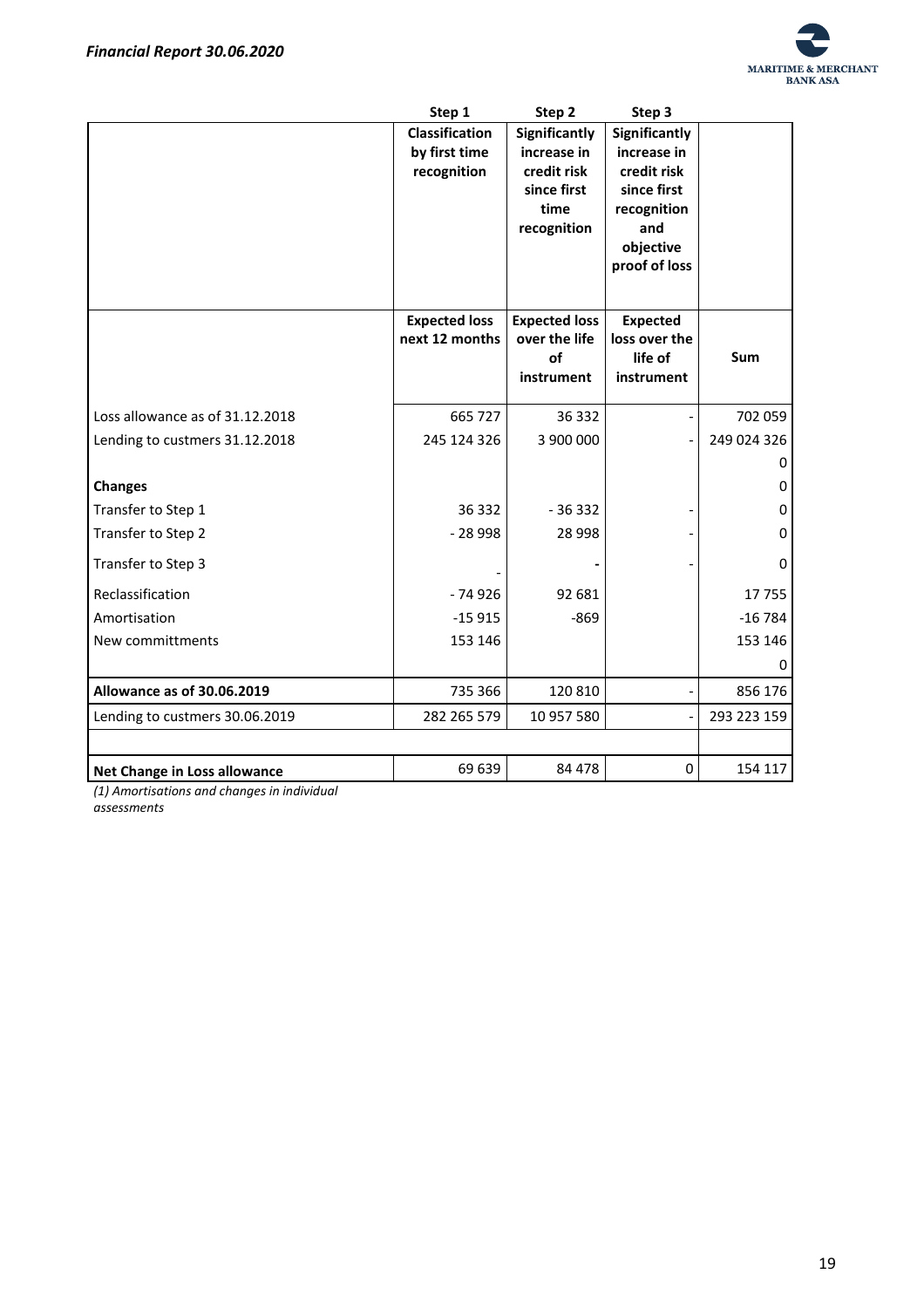

|                                 | Step 1               | Step 2               | Step 3           |             |
|---------------------------------|----------------------|----------------------|------------------|-------------|
|                                 | Classification       | Significantly        | Significantly    |             |
|                                 | by first time        | increase in          | increase in      |             |
|                                 | recognition          | credit risk          | credit risk      |             |
|                                 |                      | since first          | since first      |             |
|                                 |                      | time                 | recognition      |             |
|                                 |                      | recognition          | and<br>objective |             |
|                                 |                      |                      | proof of loss    |             |
|                                 |                      |                      |                  |             |
|                                 |                      |                      |                  |             |
|                                 | <b>Expected loss</b> | <b>Expected loss</b> | <b>Expected</b>  |             |
|                                 | next 12 months       | over the life        | loss over the    |             |
|                                 |                      | of                   | life of          | Sum         |
|                                 |                      | instrument           | instrument       |             |
| Loss allowance as of 31.12.2018 | 665 727              | 36 332               |                  | 702 059     |
| Lending to custmers 31.12.2018  | 245 124 326          | 3 900 000            |                  | 249 024 326 |
|                                 |                      |                      |                  | 0           |
| <b>Changes</b>                  |                      |                      |                  | 0           |
| Transfer to Step 1              | 36 332               | $-36332$             |                  | 0           |
| Transfer to Step 2              | $-28998$             | 28 9 98              |                  | 0           |
| Transfer to Step 3              |                      |                      |                  | 0           |
| Reclassification                | $-74926$             | 92 681               |                  | 17755       |
| Amortisation                    | $-15915$             | $-869$               |                  | $-16784$    |
| New committments                | 153 146              |                      |                  | 153 146     |
|                                 |                      |                      |                  | 0           |
| Allowance as of 30.06.2019      | 735 366              | 120 810              |                  | 856 176     |
| Lending to custmers 30.06.2019  | 282 265 579          | 10 957 580           |                  | 293 223 159 |
|                                 |                      |                      |                  |             |
| Net Change in Loss allowance    | 69 639               | 84 478               | $\mathbf 0$      | 154 117     |

*(1) Amortisations and changes in individual assessments*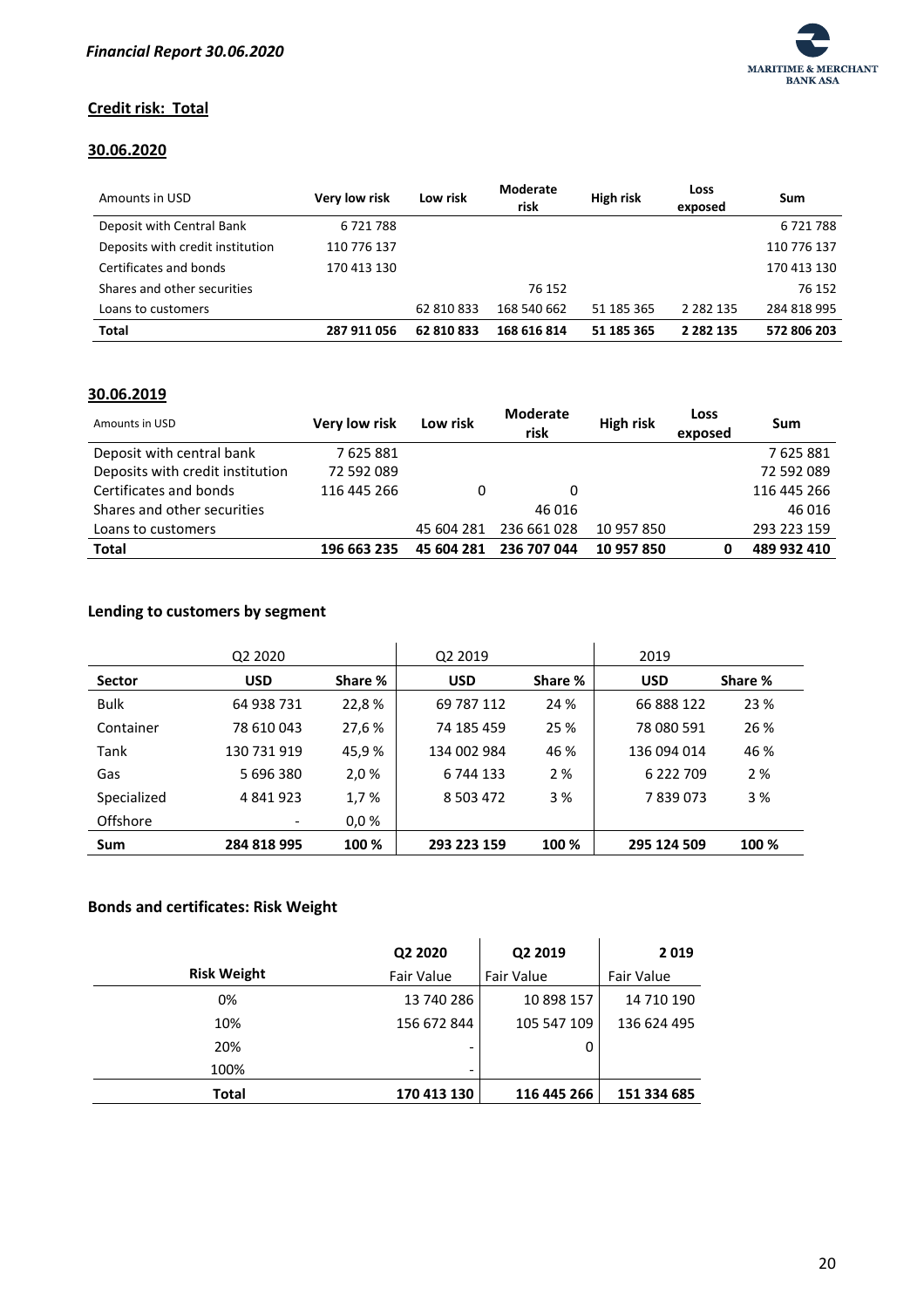

#### **Credit risk: Total**

## **30.06.2020**

| Amounts in USD                   | Very low risk | Low risk   | Moderate<br>risk | <b>High risk</b> | Loss<br>exposed | Sum         |
|----------------------------------|---------------|------------|------------------|------------------|-----------------|-------------|
| Deposit with Central Bank        | 6721788       |            |                  |                  |                 | 6 721 788   |
| Deposits with credit institution | 110 776 137   |            |                  |                  |                 | 110 776 137 |
| Certificates and bonds           | 170 413 130   |            |                  |                  |                 | 170 413 130 |
| Shares and other securities      |               |            | 76 152           |                  |                 | 76 152      |
| Loans to customers               |               | 62 810 833 | 168 540 662      | 51 185 365       | 2 2 8 2 1 3 5   | 284 818 995 |
| Total                            | 287 911 056   | 62 810 833 | 168 616 814      | 51 185 365       | 2 2 8 2 1 3 5   | 572 806 203 |

#### **30.06.2019**

| Amounts in USD                   | Very low risk | Low risk   | Moderate<br>risk | <b>High risk</b> | Loss<br>exposed | Sum         |
|----------------------------------|---------------|------------|------------------|------------------|-----------------|-------------|
| Deposit with central bank        | 7625881       |            |                  |                  |                 | 7625881     |
| Deposits with credit institution | 72 592 089    |            |                  |                  |                 | 72 592 089  |
| Certificates and bonds           | 116 445 266   | 0          | 0                |                  |                 | 116 445 266 |
| Shares and other securities      |               |            | 46 016           |                  |                 | 46 016      |
| Loans to customers               |               | 45 604 281 | 236 661 028      | 10 957 850       |                 | 293 223 159 |
| <b>Total</b>                     | 196 663 235   | 45 604 281 | 236 707 044      | 10 957 850       |                 | 489 932 410 |

## **Lending to customers by segment**

|               | Q2 2020     |         | Q2 2019       |         | 2019        |         |
|---------------|-------------|---------|---------------|---------|-------------|---------|
| <b>Sector</b> | <b>USD</b>  | Share % | <b>USD</b>    | Share % | <b>USD</b>  | Share % |
| <b>Bulk</b>   | 64 938 731  | 22,8%   | 69 787 112    | 24 %    | 66 888 122  | 23 %    |
| Container     | 78 610 043  | 27,6%   | 74 185 459    | 25 %    | 78 080 591  | 26 %    |
| Tank          | 130 731 919 | 45,9%   | 134 002 984   | 46 %    | 136 094 014 | 46 %    |
| Gas           | 5 696 380   | 2,0%    | 6 744 133     | 2%      | 6 222 709   | 2%      |
| Specialized   | 4 841 923   | 1,7%    | 8 5 0 3 4 7 2 | 3 %     | 7839073     | 3%      |
| Offshore      |             | 0,0%    |               |         |             |         |
| Sum           | 284 818 995 | 100 %   | 293 223 159   | 100 %   | 295 124 509 | 100 %   |

### **Bonds and certificates: Risk Weight**

|                    | Q2 2020                      | Q2 2019     | 2019        |
|--------------------|------------------------------|-------------|-------------|
| <b>Risk Weight</b> | Fair Value                   | Fair Value  | Fair Value  |
| 0%                 | 13 740 286                   | 10 898 157  | 14 710 190  |
| 10%                | 156 672 844                  | 105 547 109 | 136 624 495 |
| 20%                | -                            | 0           |             |
| 100%               | $\qquad \qquad \blacksquare$ |             |             |
| <b>Total</b>       | 170 413 130                  | 116 445 266 | 151 334 685 |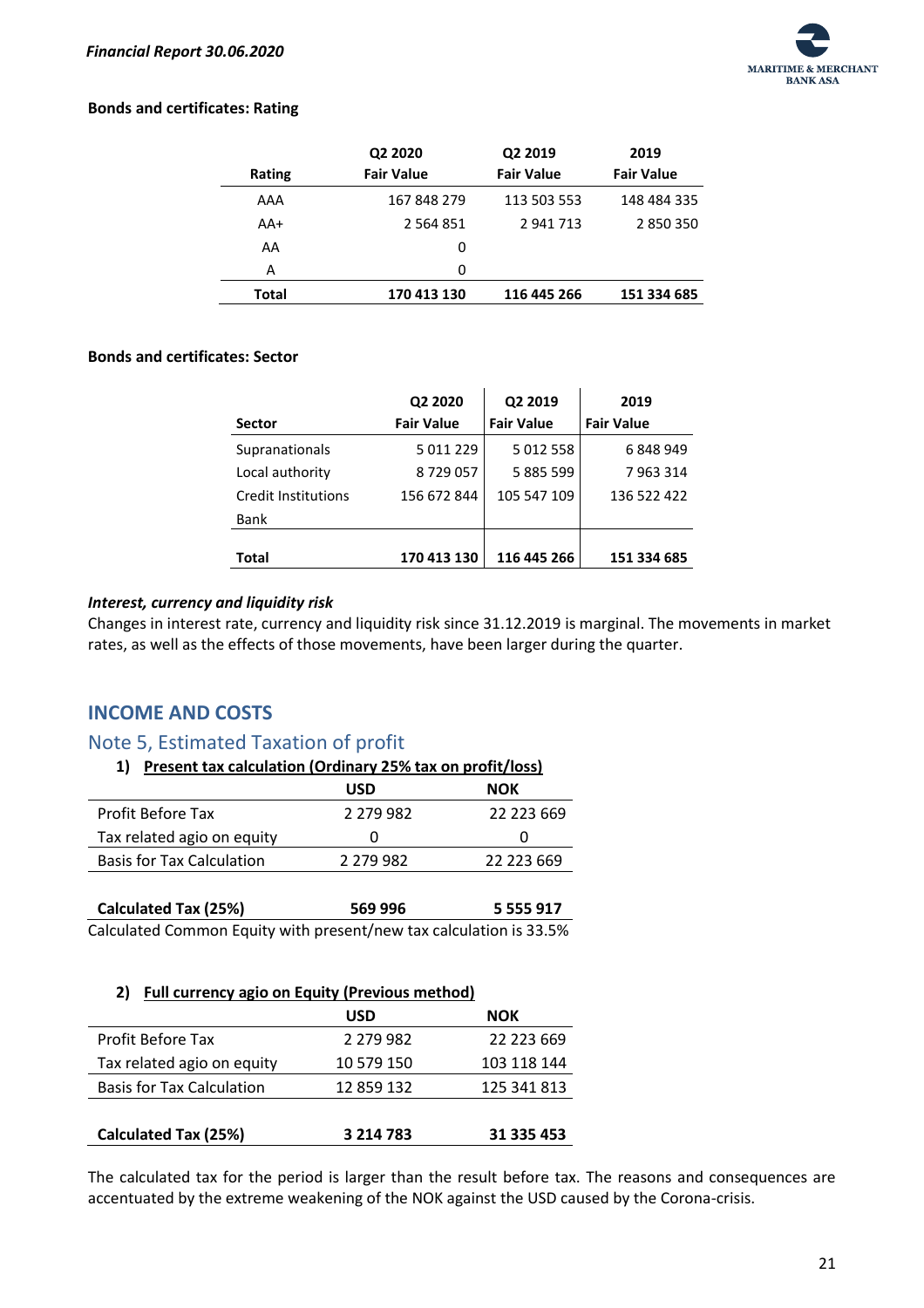

#### **Bonds and certificates: Rating**

|        | Q2 2020           | Q2 2019           | 2019              |
|--------|-------------------|-------------------|-------------------|
| Rating | <b>Fair Value</b> | <b>Fair Value</b> | <b>Fair Value</b> |
| AAA    | 167 848 279       | 113 503 553       | 148 484 335       |
| AA+    | 2 5 6 4 8 5 1     | 2 941 713         | 2850350           |
| AA     | 0                 |                   |                   |
| А      | 0                 |                   |                   |
| Total  | 170 413 130       | 116 445 266       | 151 334 685       |

#### **Bonds and certificates: Sector**

|                            | Q2 2020           | Q2 2019           | 2019              |
|----------------------------|-------------------|-------------------|-------------------|
| <b>Sector</b>              | <b>Fair Value</b> | <b>Fair Value</b> | <b>Fair Value</b> |
| Supranationals             | 5 0 1 2 2 2 9     | 5 012 558         | 6848949           |
| Local authority            | 8729057           | 5 885 599         | 7963314           |
| <b>Credit Institutions</b> | 156 672 844       | 105 547 109       | 136 522 422       |
| <b>Bank</b>                |                   |                   |                   |
|                            |                   |                   |                   |
| Total                      | 170 413 130       | 116 445 266       | 151 334 685       |

#### <span id="page-21-0"></span>*Interest, currency and liquidity risk*

Changes in interest rate, currency and liquidity risk since 31.12.2019 is marginal. The movements in market rates, as well as the effects of those movements, have been larger during the quarter.

# <span id="page-21-1"></span>**INCOME AND COSTS**

# <span id="page-21-2"></span>Note 5, Estimated Taxation of profit

| 1) Present tax calculation (Ordinary 25% tax on profit/loss) |  |  |
|--------------------------------------------------------------|--|--|
|                                                              |  |  |

|                                  | <b>USD</b>    | NOK        |
|----------------------------------|---------------|------------|
| <b>Profit Before Tax</b>         | 2 279 982     | 22 223 669 |
| Tax related agio on equity       |               |            |
| <b>Basis for Tax Calculation</b> | 2 2 7 9 9 8 2 | 22 223 669 |
|                                  |               |            |

| <b>Calculated Tax (25%)</b>                                        | 569 996 | 5 5 5 5 9 1 7 |
|--------------------------------------------------------------------|---------|---------------|
| Calculated Common Equity with present/new tax calculation is 33.5% |         |               |

#### **2) Full currency agio on Equity (Previous method)**

|                                  | <b>USD</b>    | <b>NOK</b>  |
|----------------------------------|---------------|-------------|
| Profit Before Tax                | 2 279 982     | 22 223 669  |
| Tax related agio on equity       | 10 579 150    | 103 118 144 |
| <b>Basis for Tax Calculation</b> | 12 859 132    | 125 341 813 |
|                                  |               |             |
| <b>Calculated Tax (25%)</b>      | 3 2 1 4 7 8 3 | 31 335 453  |

The calculated tax for the period is larger than the result before tax. The reasons and consequences are accentuated by the extreme weakening of the NOK against the USD caused by the Corona-crisis.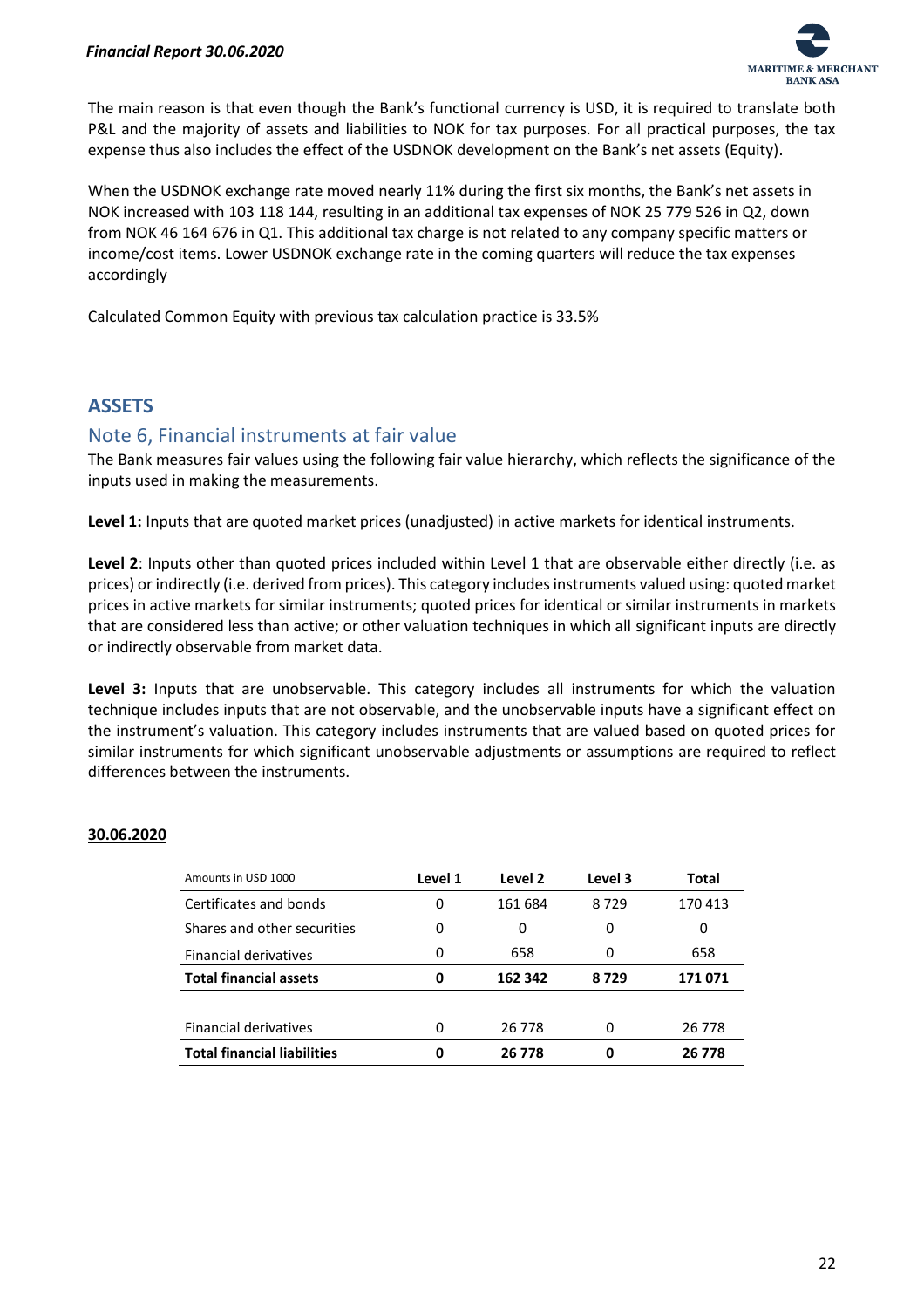

The main reason is that even though the Bank's functional currency is USD, it is required to translate both P&L and the majority of assets and liabilities to NOK for tax purposes. For all practical purposes, the tax expense thus also includes the effect of the USDNOK development on the Bank's net assets (Equity).

When the USDNOK exchange rate moved nearly 11% during the first six months, the Bank's net assets in NOK increased with 103 118 144, resulting in an additional tax expenses of NOK 25 779 526 in Q2, down from NOK 46 164 676 in Q1. This additional tax charge is not related to any company specific matters or income/cost items. Lower USDNOK exchange rate in the coming quarters will reduce the tax expenses accordingly

Calculated Common Equity with previous tax calculation practice is 33.5%

# <span id="page-22-0"></span>**ASSETS**

## <span id="page-22-1"></span>Note 6, Financial instruments at fair value

The Bank measures fair values using the following fair value hierarchy, which reflects the significance of the inputs used in making the measurements.

**Level 1:** Inputs that are quoted market prices (unadjusted) in active markets for identical instruments.

**Level 2**: Inputs other than quoted prices included within Level 1 that are observable either directly (i.e. as prices) or indirectly (i.e. derived from prices). This category includes instruments valued using: quoted market prices in active markets for similar instruments; quoted prices for identical or similar instruments in markets that are considered less than active; or other valuation techniques in which all significant inputs are directly or indirectly observable from market data.

**Level 3:** Inputs that are unobservable. This category includes all instruments for which the valuation technique includes inputs that are not observable, and the unobservable inputs have a significant effect on the instrument's valuation. This category includes instruments that are valued based on quoted prices for similar instruments for which significant unobservable adjustments or assumptions are required to reflect differences between the instruments.

#### **30.06.2020**

| Amounts in USD 1000                | Level 1 | Level 2 | Level 3 | Total   |
|------------------------------------|---------|---------|---------|---------|
| Certificates and bonds             | 0       | 161 684 | 8729    | 170 413 |
| Shares and other securities        | 0       | 0       | 0       | 0       |
| <b>Financial derivatives</b>       | 0       | 658     | 0       | 658     |
| <b>Total financial assets</b>      | 0       | 162 342 | 8729    | 171071  |
|                                    |         |         |         |         |
| <b>Financial derivatives</b>       | 0       | 26 778  | 0       | 26 778  |
| <b>Total financial liabilities</b> | 0       | 26 778  | 0       | 26 778  |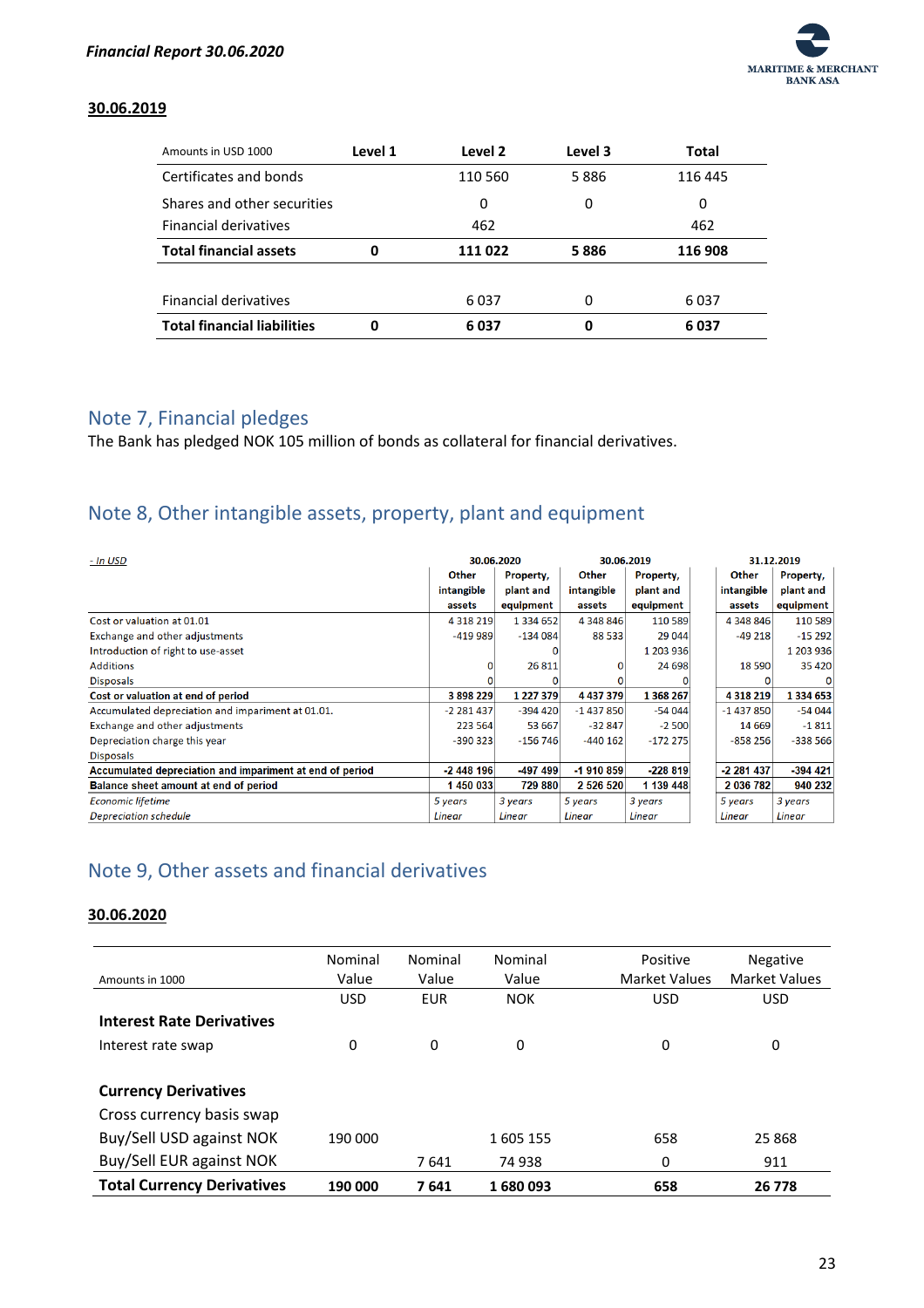

#### **30.06.2019**

| Amounts in USD 1000                | Level 1 | Level 2 | Level 3 | Total   |
|------------------------------------|---------|---------|---------|---------|
| Certificates and bonds             |         | 110 560 | 5886    | 116 445 |
| Shares and other securities        |         | 0       | 0       | 0       |
| <b>Financial derivatives</b>       |         | 462     |         | 462     |
| <b>Total financial assets</b>      | 0       | 111 022 | 5886    | 116 908 |
|                                    |         |         |         |         |
| <b>Financial derivatives</b>       |         | 6037    | 0       | 6037    |
| <b>Total financial liabilities</b> | 0       | 6 037   | 0       | 6037    |

## <span id="page-23-0"></span>Note 7, Financial pledges

The Bank has pledged NOK 105 million of bonds as collateral for financial derivatives.

# <span id="page-23-1"></span>Note 8, Other intangible assets, property, plant and equipment

| - In USD                                                 |             | 30.06.2020    |               | 30.06.2019 |             | 31.12.2019    |
|----------------------------------------------------------|-------------|---------------|---------------|------------|-------------|---------------|
|                                                          | Other       | Property,     | Other         | Property,  | Other       | Property,     |
|                                                          | intangible  | plant and     | intangible    | plant and  | intangible  | plant and     |
|                                                          | assets      | equipment     | assets        | equipment  | assets      | equipment     |
| Cost or valuation at 01.01                               | 4 3 18 2 19 | 1 3 3 4 6 5 2 | 4 348 846     | 110 589    | 4 348 846   | 110 589       |
| Exchange and other adjustments                           | $-419989$   | $-134084$     | 88 533        | 29 044     | $-49218$    | $-15292$      |
| Introduction of right to use-asset                       |             |               |               | 1 203 936  |             | 1 203 936     |
| <b>Additions</b>                                         | 0           | 26 811        | 0             | 24 698     | 18 5 90     | 35 4 20       |
| <b>Disposals</b>                                         |             |               |               |            |             |               |
| Cost or valuation at end of period                       | 3898229     | 1 227 379     | 4 4 3 7 3 7 9 | 1 368 267  | 4 3 18 2 19 | 1 3 3 4 6 5 3 |
| Accumulated depreciation and impariment at 01.01.        | $-2281437$  | $-394420$     | $-1437850$    | $-54044$   | $-1437850$  | $-54044$      |
| Exchange and other adjustments                           | 223 564     | 53 667        | $-32847$      | $-2500$    | 14 6 69     | $-1811$       |
| Depreciation charge this year                            | $-390323$   | $-156746$     | $-440162$     | $-172275$  | $-858256$   | $-338566$     |
| <b>Disposals</b>                                         |             |               |               |            |             |               |
| Accumulated depreciation and impariment at end of period | $-2448196$  | $-497499$     | $-1910859$    | $-228819$  | -2 281 437  | $-394$ 421    |
| Balance sheet amount at end of period                    | 1450033     | 729 880       | 2 5 2 6 5 2 0 | 1 139 448  | 2 036 782   | 940 232       |
| Economic lifetime                                        | 5 years     | 3 years       | 5 years       | 3 years    | 5 years     | 3 years       |
| Depreciation schedule                                    | Linear      | Linear        | <b>Linear</b> | Linear     | Linear      | Linear        |

# <span id="page-23-2"></span>Note 9, Other assets and financial derivatives

#### **30.06.2020**

|                                   | Nominal    | Nominal    | Nominal    | Positive             | <b>Negative</b>      |
|-----------------------------------|------------|------------|------------|----------------------|----------------------|
| Amounts in 1000                   | Value      | Value      | Value      | <b>Market Values</b> | <b>Market Values</b> |
|                                   | <b>USD</b> | <b>EUR</b> | <b>NOK</b> | <b>USD</b>           | <b>USD</b>           |
| <b>Interest Rate Derivatives</b>  |            |            |            |                      |                      |
| Interest rate swap                | 0          | 0          | 0          | 0                    | 0                    |
|                                   |            |            |            |                      |                      |
| <b>Currency Derivatives</b>       |            |            |            |                      |                      |
| Cross currency basis swap         |            |            |            |                      |                      |
| Buy/Sell USD against NOK          | 190 000    |            | 1605 155   | 658                  | 25 868               |
| Buy/Sell EUR against NOK          |            | 7641       | 74 938     | 0                    | 911                  |
| <b>Total Currency Derivatives</b> | 190 000    | 7641       | 1680093    | 658                  | 26 7 78              |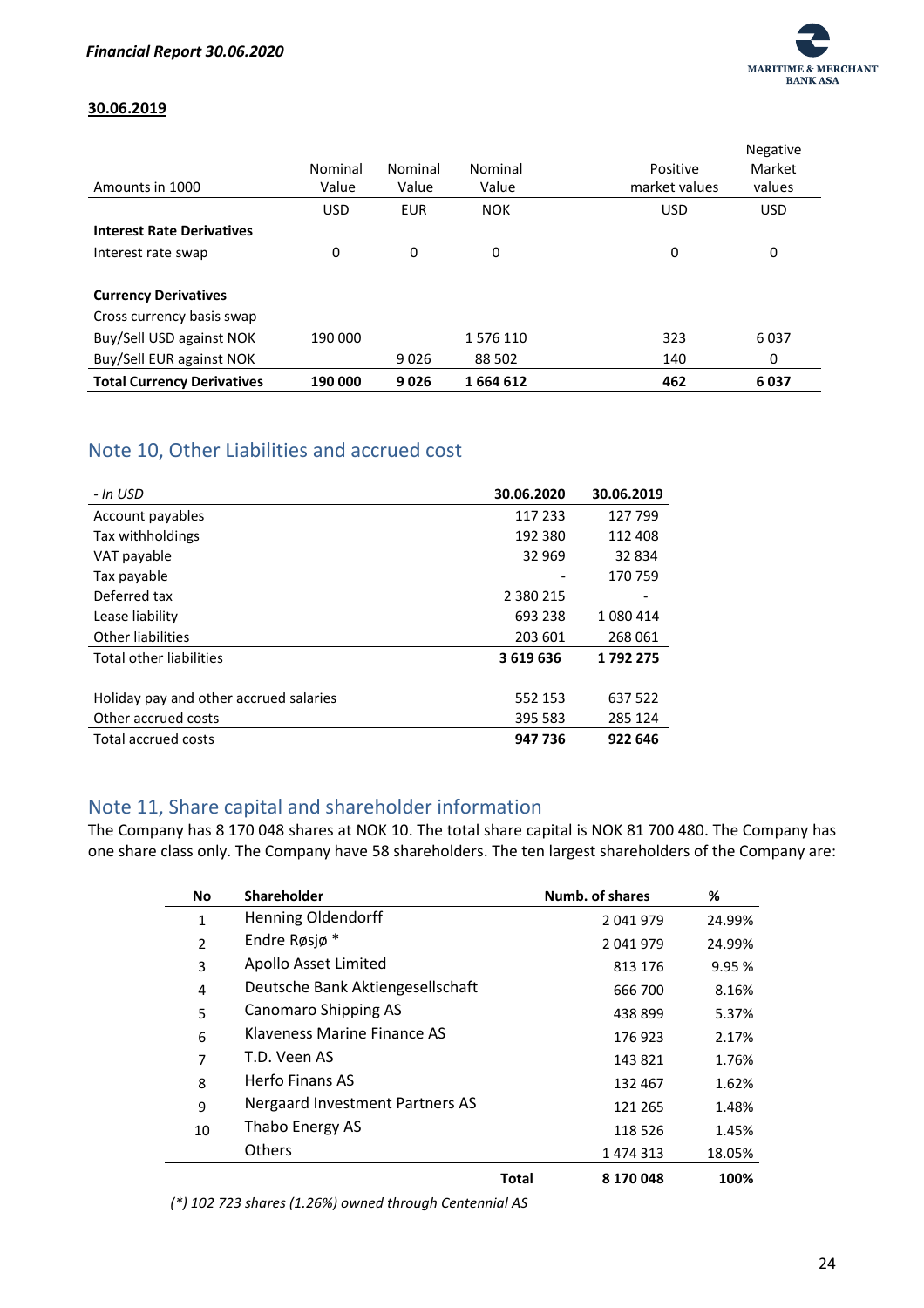

#### **30.06.2019**

| Amounts in 1000                   | Nominal<br>Value | Nominal<br>Value | Nominal<br>Value | Positive<br>market values | Negative<br>Market<br>values |
|-----------------------------------|------------------|------------------|------------------|---------------------------|------------------------------|
|                                   | <b>USD</b>       | <b>EUR</b>       | <b>NOK</b>       | <b>USD</b>                | <b>USD</b>                   |
| <b>Interest Rate Derivatives</b>  |                  |                  |                  |                           |                              |
| Interest rate swap                | 0                | 0                | 0                | 0                         | 0                            |
| <b>Currency Derivatives</b>       |                  |                  |                  |                           |                              |
| Cross currency basis swap         |                  |                  |                  |                           |                              |
| Buy/Sell USD against NOK          | 190 000          |                  | 1576110          | 323                       | 6037                         |
| Buy/Sell EUR against NOK          |                  | 9026             | 88 502           | 140                       | 0                            |
| <b>Total Currency Derivatives</b> | 190 000          | 9026             | 1664612          | 462                       | 6037                         |

# <span id="page-24-0"></span>Note 10, Other Liabilities and accrued cost

| - In USD                               | 30.06.2020    | 30.06.2019 |
|----------------------------------------|---------------|------------|
| Account payables                       | 117 233       | 127 799    |
| Tax withholdings                       | 192 380       | 112 408    |
| VAT payable                            | 32 969        | 32 834     |
| Tax payable                            |               | 170 759    |
| Deferred tax                           | 2 3 8 0 2 1 5 |            |
| Lease liability                        | 693 238       | 1 080 414  |
| Other liabilities                      | 203 601       | 268 061    |
| Total other liabilities                | 3619636       | 1792275    |
|                                        |               |            |
| Holiday pay and other accrued salaries | 552 153       | 637 522    |
| Other accrued costs                    | 395 583       | 285 124    |
| Total accrued costs                    | 947 736       | 922 646    |

# <span id="page-24-1"></span>Note 11, Share capital and shareholder information

The Company has 8 170 048 shares at NOK 10. The total share capital is NOK 81 700 480. The Company has one share class only. The Company have 58 shareholders. The ten largest shareholders of the Company are:

| No           | Shareholder                      |       | Numb. of shares | %      |
|--------------|----------------------------------|-------|-----------------|--------|
| $\mathbf{1}$ | Henning Oldendorff               |       | 2041979         | 24.99% |
| 2            | Endre Røsjø*                     |       | 2041979         | 24.99% |
| 3            | Apollo Asset Limited             |       | 813 176         | 9.95%  |
| 4            | Deutsche Bank Aktiengesellschaft |       | 666 700         | 8.16%  |
| 5            | <b>Canomaro Shipping AS</b>      |       | 438899          | 5.37%  |
| 6            | Klaveness Marine Finance AS      |       | 176 923         | 2.17%  |
| 7            | T.D. Veen AS                     |       | 143821          | 1.76%  |
| 8            | Herfo Finans AS                  |       | 132 467         | 1.62%  |
| 9            | Nergaard Investment Partners AS  |       | 121 265         | 1.48%  |
| 10           | Thabo Energy AS                  |       | 118 526         | 1.45%  |
|              | <b>Others</b>                    |       | 1 474 313       | 18.05% |
|              |                                  | Total | 8 170 048       | 100%   |

*(\*) 102 723 shares (1.26%) owned through Centennial AS*